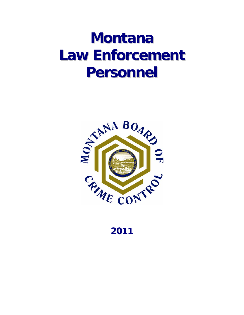# **Montana Law Enforcement Personnel**



**2011**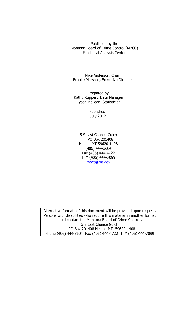Published by the Montana Board of Crime Control (MBCC) Statistical Analysis Center

Mike Anderson, Chair Brooke Marshall, Executive Director

 Tyson McLean, Statistician Prepared by Kathy Ruppert, Data Manager

> Published: July 2012

5 S Last Chance Gulch PO Box 201408 Helena MT 59620-1408 (406) 444-3604 Fax (406) 444-4722 TTY (406) 444-7099 mbcc@mt.gov

Alternative formats of this document will be provided upon request. Persons with disabilities who require this material in another format should contact the Montana Board of Crime Control at 5 S Last Chance Gulch PO Box 201408 Helena MT 59620-1408 Phone (406) 444-3604 Fax (406) 444-4722 TTY (406) 444-7099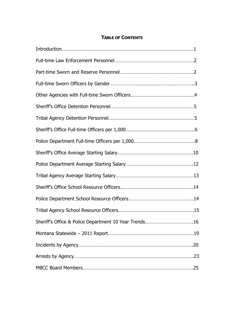#### **TABLE OF CONTENTS**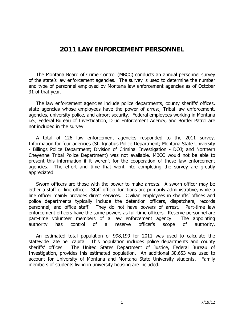### **2011 LAW ENFORCEMENT PERSONNEL**

 The Montana Board of Crime Control (MBCC) conducts an annual personnel survey of the state's law enforcement agencies. The survey is used to determine the number and type of personnel employed by Montana law enforcement agencies as of October 31 of that year.

 The law enforcement agencies include police departments, county sheriffs' offices, state agencies whose employees have the power of arrest, Tribal law enforcement, agencies, university police, and airport security. Federal employees working in Montana i.e., Federal Bureau of Investigation, Drug Enforcement Agency, and Border Patrol are not included in the survey.

 A total of 126 law enforcement agencies responded to the 2011 survey. Information for four agencies (St. Ignatius Police Department; Montana State University - Billings Police Department; Division of Criminal Investigation - DOJ; and Northern Cheyenne Tribal Police Department) was not available. MBCC would not be able to present this information if it weren't for the cooperation of these law enforcement agencies. The effort and time that went into completing the survey are greatly appreciated.

 Sworn officers are those with the power to make arrests. A sworn officer may be either a staff or line officer. Staff officer functions are primarily administrative, while a line officer mainly provides direct services. Civilian employees in sheriffs' offices and police departments typically include the detention officers, dispatchers, records personnel, and office staff. They do not have powers of arrest. Part-time law enforcement officers have the same powers as full-time officers. Reserve personnel are part-time volunteer members of a law enforcement agency. The appointing authority has control of a reserve officer's scope of authority.

 An estimated total population of 998,199 for 2011 was used to calculate the statewide rate per capita. This population includes police departments and county sheriffs' offices. The United States Department of Justice, Federal Bureau of Investigation, provides this estimated population. An additional 30,653 was used to account for University of Montana and Montana State University students. Family members of students living in university housing are included.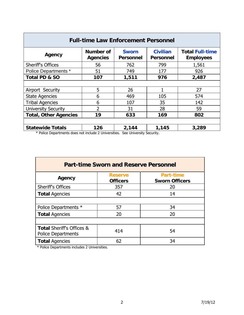| <b>Full-time Law Enforcement Personnel</b> |                              |                                  |                                     |                                            |  |  |  |
|--------------------------------------------|------------------------------|----------------------------------|-------------------------------------|--------------------------------------------|--|--|--|
| Agency                                     | Number of<br><b>Agencies</b> | <b>Sworn</b><br><b>Personnel</b> | <b>Civilian</b><br><b>Personnel</b> | <b>Total Full-time</b><br><b>Employees</b> |  |  |  |
| Sheriff's Offices                          | 56                           | 762                              | 799                                 | 1,561                                      |  |  |  |
| <b>Police Departments *</b>                | 51                           | 749                              | 177                                 | 926                                        |  |  |  |
| Total PD & SO                              | 107                          | 1,511                            | 976                                 | 2,487                                      |  |  |  |
|                                            |                              |                                  |                                     |                                            |  |  |  |
| Airport Security                           | 5                            | 26                               | 1                                   | 27                                         |  |  |  |
| <b>State Agencies</b>                      | 6                            | 469                              | 105                                 | 574                                        |  |  |  |
| <b>Tribal Agencies</b>                     | 6                            | 107                              | 35                                  | 142                                        |  |  |  |
| <b>University Security</b>                 | $\overline{2}$               | 31                               | 28                                  | 59                                         |  |  |  |
| <b>Total, Other Agencies</b>               | 19                           | 633                              | 169                                 | 802                                        |  |  |  |
|                                            |                              |                                  |                                     |                                            |  |  |  |
| <b>Statewide Totals</b>                    | 126                          | 2,144                            | 1,145                               | 3,289                                      |  |  |  |

\* Police Departments does not include 2 Universities. See University Security.

| <b>Part-time Sworn and Reserve Personnel</b>                      |                                   |                                           |  |  |  |  |
|-------------------------------------------------------------------|-----------------------------------|-------------------------------------------|--|--|--|--|
| Agency                                                            | <b>Reserve</b><br><b>Officers</b> | <b>Part-time</b><br><b>Sworn Officers</b> |  |  |  |  |
| <b>Sheriff's Offices</b>                                          | 357                               | 20                                        |  |  |  |  |
| <b>Total Agencies</b>                                             | 42                                | 14                                        |  |  |  |  |
|                                                                   |                                   |                                           |  |  |  |  |
| Police Departments *                                              | 57                                | 34                                        |  |  |  |  |
| <b>Total Agencies</b>                                             | 20                                | 20                                        |  |  |  |  |
|                                                                   |                                   |                                           |  |  |  |  |
| <b>Total Sheriff's Offices &amp;</b><br><b>Police Departments</b> | 414                               | 54                                        |  |  |  |  |
| <b>Total Agencies</b>                                             | 62                                | 34                                        |  |  |  |  |

\* Police Departments includes 2 Universities.

<u> Louis Communication (Communication (Communication (Communication (Communication (Communication (Communication</u>

L.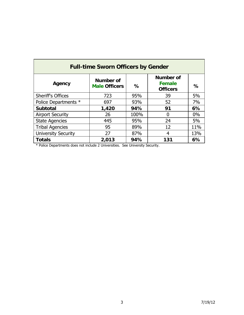| <b>Full-time Sworn Officers by Gender</b> |                                          |      |                                                      |       |  |  |  |
|-------------------------------------------|------------------------------------------|------|------------------------------------------------------|-------|--|--|--|
| Agency                                    | <b>Number of</b><br><b>Male Officers</b> | %    | <b>Number of</b><br><b>Female</b><br><b>Officers</b> | $\%$  |  |  |  |
| <b>Sheriff's Offices</b>                  | 723                                      | 95%  | 39                                                   | 5%    |  |  |  |
| Police Departments *                      | 697                                      | 93%  | 52                                                   | 7%    |  |  |  |
| <b>Subtotal</b>                           | 1,420                                    | 94%  | 91                                                   | 6%    |  |  |  |
| <b>Airport Security</b>                   | 26                                       | 100% | 0                                                    | $0\%$ |  |  |  |
| <b>State Agencies</b>                     | 445                                      | 95%  | 24                                                   | 5%    |  |  |  |
| <b>Tribal Agencies</b>                    | 95                                       | 89%  | 12                                                   | 11%   |  |  |  |
| <b>University Security</b>                | 27                                       | 87%  | 4                                                    | 13%   |  |  |  |
| <b>Totals</b>                             | 2,013                                    | 94%  | 131                                                  | 6%    |  |  |  |

\* Police Departments does not include 2 Universities. See University Security.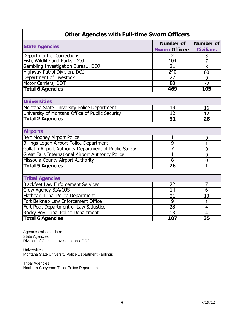| <b>Other Agencies with Full-time Sworn Officers</b>    |                       |                  |  |  |
|--------------------------------------------------------|-----------------------|------------------|--|--|
|                                                        | <b>Number of</b>      | <b>Number of</b> |  |  |
| <b>State Agencies</b>                                  | <b>Sworn Officers</b> | <b>Civilians</b> |  |  |
| Department of Corrections                              | 2                     | 3                |  |  |
| Fish, Wildlife and Parks, DOJ                          | 104                   | 7                |  |  |
| Gambling Investigation Bureau, DOJ                     | $\overline{21}$       | $\overline{3}$   |  |  |
| <b>Highway Patrol Division, DOJ</b>                    | 240                   | 60               |  |  |
| Department of Livestock                                | $\overline{22}$       | $\overline{0}$   |  |  |
| Motor Carriers, DOT                                    | 80                    | 32               |  |  |
| <b>Total 6 Agencies</b>                                | 469                   | 105              |  |  |
|                                                        |                       |                  |  |  |
| <b>Universities</b>                                    |                       |                  |  |  |
| Montana State University Police Department             | 19                    | 16               |  |  |
| University of Montana Office of Public Security        | 12                    | 12               |  |  |
| <b>Total 2 Agencies</b>                                | 31                    | 28               |  |  |
|                                                        |                       |                  |  |  |
| <b>Airports</b>                                        |                       |                  |  |  |
| <b>Bert Mooney Airport Police</b>                      | 1                     | 0                |  |  |
| <b>Billings Logan Airport Police Department</b>        | 9                     | $\overline{1}$   |  |  |
| Gallatin Airport Authority Department of Public Safety | 7                     | $\overline{0}$   |  |  |
| Great Falls International Airport Authority Police     | $\overline{1}$        | $\mathbf 0$      |  |  |
| Missoula County Airport Authority                      | $\overline{8}$        | $\overline{0}$   |  |  |
| <b>Total 5 Agencies</b>                                | 26                    | 1                |  |  |
|                                                        |                       |                  |  |  |
| <b>Tribal Agencies</b>                                 |                       |                  |  |  |
| <b>Blackfeet Law Enforcement Services</b>              | $\overline{22}$       | 7                |  |  |
| Crow Agency BIA/OJS                                    | $\overline{14}$       | $\overline{6}$   |  |  |
| <b>Flathead Tribal Police Department</b>               | 21                    | 13               |  |  |
| Fort Belknap Law Enforcement Office                    | $\overline{9}$        | $\mathbf{1}$     |  |  |
| Fort Peck Department of Law & Justice                  | $\overline{28}$       | $\overline{4}$   |  |  |
| <b>Rocky Boy Tribal Police Department</b>              | $\overline{13}$       | $\overline{4}$   |  |  |
| <b>Total 6 Agencies</b>                                | 107                   | $\overline{35}$  |  |  |

Agencies missing data: State Agencies Division of Criminal Investigations, DOJ

Universities Montana State University Police Department - Billings

Tribal Agencies Northern Cheyenne Tribal Police Department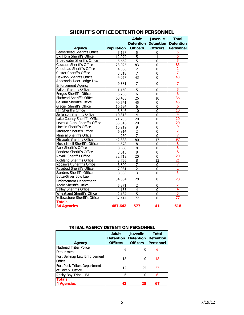|                                    |                   | <b>Adult</b>     | <b>Juvenile</b>  | <b>Total</b>     |
|------------------------------------|-------------------|------------------|------------------|------------------|
|                                    |                   | <b>Detention</b> | <b>Detention</b> | <b>Detention</b> |
| Agency                             | <b>Population</b> | <b>Officers</b>  | <b>Officers</b>  | <b>Personnel</b> |
| <b>Beaverhead Sheriff's Office</b> | 5,157             | 5                | 0                | 5                |
| Big Horn Sheriff's Office          | 12,979            | 5                | $\mathbf{1}$     | $\overline{6}$   |
| <b>Broadwater Sheriff's Office</b> | 5,662             | 5                | 0                | 5                |
| Cascade Sheriff's Office           | 23,025            | 83               | 0                | 83               |
| Chouteau Sheriff's Office          | 4,388             | 2                | 0                | $\overline{2}$   |
| <b>Custer Sheriff's Office</b>     | 3,318             | 7                | 0                | 7                |
| Dawson Sheriff's Office            | 4,067             | 43               | 0                | 43               |
| Anaconda-Deer Lodge Law            |                   | 7                | 0                | 7                |
| <b>Enforcement Agency</b>          | 9,381             |                  |                  |                  |
| <b>Fallon Sheriff's Office</b>     | 1,160             | 5                | $\mathbf{0}$     | 5                |
| Fergus Sheriff's Office            | 5,736             | 6                | 0                | 6                |
| Flathead Sheriff's Office          | 60,488            | 26               | 10               | 36               |
| <b>Gallatin Sheriff's Office</b>   | 40,541            | 45               | 0                | 45               |
| <b>Glacier Sheriff's Office</b>    | 10,624            | 6                | 0                | 6                |
| Hill Sheriff's Office              | 6,846             | 10               | 0                | 10               |
| Jefferson Sheriff's Office         | 10,313            | $\overline{4}$   | $\mathbf 0$      | $\overline{4}$   |
| Lake County Sheriff's Office       | 21,736            | 20               | 0                | 20               |
| Lewis & Clark Sheriff's Office     | 33,516            | 20               | 0                | 20               |
| Lincoln Sheriff's Office           | 15,219            | 9                | 0                | 9                |
| <b>Madison Sheriff's Office</b>    | 6,914             | $\overline{2}$   | 0                | $\overline{2}$   |
| Mineral Sheriff's Office           | 4,260             | 7                | 0                | 7                |
| Missoula Sheriff's Office          | 42,888            | 80               | 17               | 97               |
| Musselshell Sheriff's Office       | 4,578             | 8                | 0                | 8                |
| Park Sheriff's Office              | 8,668             | 8                | 0                | 8                |
| Pondera Sheriff's Office           | 3,615             | 8                | 0                | 8                |
| Ravalli Sheriff's Office           | 32,712            | 20               | 0                | 20               |
| <b>Richland Sheriff's Office</b>   | 3,756             | 8                | 13               | 21               |
| Roosevelt Sheriff's Office         | 6,800             | 7                | $\mathbf{0}$     | 7                |
| Rosebud Sheriff's Office           | 7,081             | $\overline{2}$   | 0                | $\overline{2}$   |
| Sanders Sheriff's Office           | 8,583             | 3                | $\mathbf 0$      | 3                |
| <b>Butte-Silver Bow Law</b>        | 34,504            | 28               | 0                | 28               |
| <b>Enforcement Department</b>      |                   |                  |                  |                  |
| <b>Toole Sheriff's Office</b>      | 5,371             | $\overline{2}$   | 0                | $\overline{2}$   |
| Valley Sheriff's Office            | 4,155             | 4                | $\mathbf 0$      | 4                |
| <b>Wheatland Sheriff's Office</b>  | 2,187             | 5                | 0                | 5                |
| Yellowstone Sheriff's Office       | 37,414            | 77               | 0                | 77               |
| <b>Totals</b>                      |                   |                  |                  |                  |
| <b>34 Agencies</b>                 | 487,642           | 577              | 41               | 618              |

#### **SHERIFF'S OFFICE DETENTION PERSONNEL**

|                               | <b>Adult</b>     | <b>Juvenile</b>  | <b>Total</b>     |
|-------------------------------|------------------|------------------|------------------|
|                               | <b>Detention</b> | <b>Detention</b> | <b>Detention</b> |
| Agency                        | <b>Officers</b>  | <b>Officers</b>  | <b>Personnel</b> |
| <b>Flathead Tribal Police</b> |                  |                  | 6                |
| Department                    | h                |                  |                  |
| Fort Belknap Law Enforcement  | 18               |                  | 18               |
| Office                        |                  |                  |                  |
| Fort Peck Tribes Department   | 12               | 25               | 37               |
| of Law & Justice              |                  |                  |                  |
| Rocky Boy Tribal LEA          | 6                |                  | 6                |
| <b>Totals</b>                 |                  |                  |                  |
| 4 Agencies                    | 42               | 25               | 67               |

#### **TRIBAL AGENCY DETENTION PERSONNEL**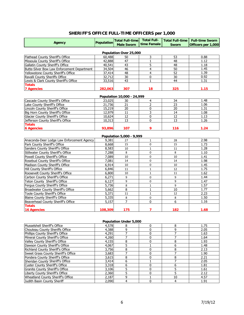#### **SHERIFF'S OFFICE FULL-TIME OFFICERS per 1,000**

|                                             |                   | <b>Total Full-time</b>           | <b>Total Full-</b>      | <b>Total Full-time</b> | <b>Full-time Sworn</b> |
|---------------------------------------------|-------------------|----------------------------------|-------------------------|------------------------|------------------------|
| Agency                                      | <b>Population</b> | <b>Male Sworn</b>                | time Female             | <b>Sworn</b>           | Officers per 1,000     |
|                                             |                   |                                  |                         |                        |                        |
|                                             |                   | Population Over 25,000           |                         |                        |                        |
| Flathead County Sheriff's Office            | 60,488            | 50                               | 3                       | 53                     | 0.88                   |
| Missoula County Sheriff's Office            | 42,888            | 47                               | 1                       | 48                     | 1.12                   |
| Gallatin County Sheriff's Office            | 40,541            | 43                               | 5                       | 48                     | 1.18                   |
| Butte-Silver Bow Law Enforcement Department | 34,504            | 46                               | 4                       | 50                     | 1.45                   |
| Yellowstone County Sheriff's Office         | 37,414            | 48                               | 4                       | $\overline{52}$        | 1.39                   |
| Ravalli County Sheriffs Office              | 32,712            | 30                               | 0                       | 30                     | 0.92                   |
| Lewis & Clark County Sheriff's Office       | 33,516            | 43                               | $\mathbf{1}$            | 44                     | 1.31                   |
| <b>Totals</b>                               |                   |                                  |                         |                        |                        |
| <b>7 Agencies</b>                           | 282,063           | 307                              | 18                      | 325                    | 1.15                   |
|                                             |                   |                                  |                         |                        |                        |
| Cascade County Sheriff's Office             | 23,025            | Population 10,000 - 24,999<br>30 | $\overline{\mathbf{4}}$ | 34                     | 1.48                   |
| Lake County Sheriff's Office                | 21,736            | 21                               | $\overline{2}$          | 23                     | 1.06                   |
| Lincoln County Sheriff's Office             | 15,219            | 20                               | 0                       | 20                     | 1.31                   |
| Big Horn County Sheriff's Office            | 12,979            | 11                               | 3                       | 14                     | 1.08                   |
| Glacier County Sheriff's Office             | 10,624            | 12                               | 0                       | 12                     | 1.13                   |
| Jefferson County Sheriff's Office           | 10,313            | 13                               | 0                       | 13                     | 1.26                   |
| <b>Totals</b>                               |                   |                                  |                         |                        |                        |
| <b>6 Agencies</b>                           | 93,896            | 107                              | 9                       | 116                    | 1.24                   |
|                                             |                   |                                  |                         |                        |                        |
|                                             |                   | Population 5,000 - 9,999         |                         |                        |                        |
| Anaconda-Deer Lodge Law Enforcement Agency  | 9,381             | 27                               | $\mathbf{1}$            | 28                     | 2.98                   |
| Park County Sheriff's Office                | 8,668             | 15                               | 0                       | 15                     | 1.73                   |
| Sanders County Sheriff's Office             | 8,583             | 10                               | $\mathbf 1$             | 11                     | 1.28                   |
| Stillwater County Sheriff's Office          | 7,288             | 8                                | 0                       | 8                      | 1.10                   |
| Powell County Sheriff's Office              | 7,089             | 10                               | 0                       | 10                     | 1.41                   |
| Rosebud County Sheriff's Office             | 7,081             | 14                               | 0                       | 14                     | 1.98                   |
| Madison County Sheriff's Office             | 6,914             | 10                               | 0                       | 10                     | 1.45                   |
| Hill County Sheriff's Office                | 6,846             | 11                               | $\mathbf{1}$            | 12                     | 1.75                   |
| Roosevelt County Sheriff's Office           | 6,800             | 10                               | $\mathbf 1$             | 11                     | 1.62                   |
| Carbon County Sheriff's Office              | 6,271             | 9                                | 0                       | 9                      | 1.44                   |
| Teton County Sheriff's Office               | 6,127             | 9                                | 0                       | 9                      | 1.47                   |
| Fergus County Sheriff's Office              | 5,736             | 8                                | $\mathbf 1$             | 9                      | 1.57                   |
| Broadwater County Sheriff's Office          | 5,662             | $\overline{8}$                   | $\mathbf{1}$            | 10                     | 1.77                   |
| Toole County Sheriff's Office               | 5,371             | 11                               | $\mathbf{1}$            | 12                     | 2.23                   |
| <b>Blaine County Sheriff's Office</b>       | 5,335             | 8                                | 0                       | 8                      | 1.50                   |
| Beaverhead County Sheriff's Office          | 5.157             | $\overline{7}$                   | 0                       | 6                      | 1.16                   |
| <b>Totals</b>                               |                   |                                  |                         |                        |                        |
| <b>16 Agencies</b>                          | 108,309           | 175                              | 7                       | 182                    | 1.68                   |
|                                             |                   |                                  |                         |                        |                        |
|                                             |                   |                                  |                         |                        |                        |
|                                             |                   | <b>Population Under 5,000</b>    |                         |                        |                        |
| Musselshell Sheriff's Office                | 4,578             | 8                                | 0                       | 8                      | 1.75                   |
| Chouteau County Sheriffs Office             | 4,388             | $\overline{9}$                   | $\pmb{0}$               | $\overline{9}$         | 2.05                   |
| Phillips County Sheriff's Office            | 4,291             | 7                                | 0                       | 7                      | 1.63                   |
| Mineral County Sheriff's Office             | 4,260             | $\boldsymbol{7}$                 | 0                       | 7                      | 1.64                   |
| Valley County Sheriff's Office              | 4,155             | $\overline{8}$                   | 0                       | $\overline{8}$         | 1.93                   |
| Dawson County Sheriff's Office              | 4,067             | $\overline{5}$                   | $\mathbf 1$             | 6                      | 1.48                   |
| Richland County Sheriff's Office            | 3,756             | $\overline{8}$                   | 0                       | $\overline{8}$         | 2.13                   |
| Sweet Grass County Sheriff's Office         | 3,683             | $\overline{7}$                   | 0                       | $\overline{7}$         | 1.90                   |
| Pondera County Sheriff's Office             | 3,615             | $\overline{8}$                   | 0                       | $\overline{8}$         | 2.21                   |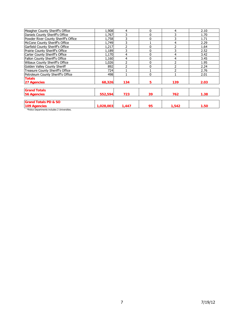| Meagher County Sheriff's Office                                              | 1,908     | 4     | 0            | 4     | 2.10 |
|------------------------------------------------------------------------------|-----------|-------|--------------|-------|------|
| Daniels County Sheriff's Office                                              | 1,767     |       | $\mathbf 0$  |       | 1.70 |
| Powder River County Sheriff's Office                                         | 1,758     |       | $\mathbf 0$  |       | 1.71 |
| McCone County Sheriff's Office                                               | 1.749     |       |              | 4     | 2.29 |
| Garfield County Sheriff's Office                                             | 1,217     |       | 0            |       | 1.64 |
| Prairie County Sheriff's Office                                              | 1,189     |       | 0            |       | 2.52 |
| Carter County Sheriff's Office                                               | 1,170     | 4     | $\mathbf{0}$ | 4     | 3.42 |
| Fallon County Sheriff's Office                                               | 1,160     | 4     | 0            |       | 3.45 |
| Wibaux County Sheriff's Office                                               | 1,026     |       | $\mathbf 0$  |       | 1.95 |
| Golden Valley County Sheriff                                                 | 892       |       | $\mathbf{0}$ | ำ     | 2.24 |
| <b>Treasure County Sheriff's Office</b>                                      | 724       |       |              |       | 2.76 |
| Petroleum County Sheriff's Office                                            | 498       |       | $\Omega$     |       | 2.01 |
| <b>Totals</b>                                                                |           |       |              |       |      |
| 27 Agencies                                                                  | 68,326    | 134   | 5            | 139   | 2.03 |
| <b>Grand Totals</b>                                                          |           |       |              |       |      |
| <b>56 Agencies</b>                                                           | 552.594   | 723   | 39           | 762   | 1.38 |
| <b>Grand Totals PD &amp; SO</b>                                              |           |       |              |       |      |
| 109 Agencies<br>What has the computers with the deadless for the base of the | 1,028,003 | 1,447 | 95           | 1,542 | 1.50 |

\*Police Departments includes 2 Universities.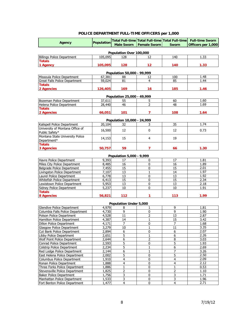#### **POLICE DEPARTMENT FULL-TIME OFFICERS per 1,000**

|                                                         |                   |                            |                     | Total Full-time Total Full-time Total Full-time | <b>Full-time Sworn</b> |
|---------------------------------------------------------|-------------------|----------------------------|---------------------|-------------------------------------------------|------------------------|
| <b>Agency</b>                                           | <b>Population</b> | <b>Male Sworn</b>          | <b>Female Sworn</b> | <b>Sworn</b>                                    | Officers per 1,000     |
|                                                         |                   |                            |                     |                                                 |                        |
|                                                         |                   | Population Over 100,000    |                     |                                                 |                        |
| <b>Billings Police Department</b>                       | 105,095           | 128                        | 12                  | 140                                             | 1.33                   |
| <b>Totals</b>                                           |                   |                            | 12                  |                                                 |                        |
| 1 Agency                                                | 105,095           | 128                        |                     | 140                                             | 1.33                   |
|                                                         |                   | Population 50,000 - 99,999 |                     |                                                 |                        |
| Missoula Police Department                              | 67,381            | 88                         | 12                  | 100                                             | 1.48                   |
| Great Falls Police Department                           | 59,024            | 81                         | 4                   | 85                                              | 1.44                   |
| <b>Totals</b>                                           |                   |                            |                     |                                                 |                        |
| 2 Agencies                                              | 126,405           | 169                        | 16                  | 185                                             | 1.46                   |
|                                                         |                   |                            |                     |                                                 |                        |
|                                                         |                   | Population 25,000 - 49,999 |                     |                                                 |                        |
| Bozeman Police Department                               | 37,611            | 55<br>46                   | 5<br>2              | 60<br>48                                        | 1.60<br>1.69           |
| Helena Police Department<br><b>Totals</b>               | 28,440            |                            |                     |                                                 |                        |
| 2 Agencies                                              | 66,051            | 101                        | $\overline{7}$      | 108                                             | 1.64                   |
|                                                         |                   |                            |                     |                                                 |                        |
|                                                         |                   | Population 10,000 - 24,999 |                     |                                                 |                        |
| Kalispell Police Department                             | 20,104            | 32                         | 3                   | 35                                              | 1.74                   |
| University of Montana Office of                         | 16,500            | 12                         | $\mathbf 0$         | 12                                              | 0.73                   |
| Public Safety*                                          |                   |                            |                     |                                                 |                        |
| Montana State University Police                         | 14,153            | 15                         | 4                   | 19                                              |                        |
| Department*                                             |                   |                            |                     |                                                 |                        |
| <b>Totals</b>                                           |                   | 59                         | $\overline{7}$      |                                                 |                        |
| 3 Agencies                                              | 50,757            |                            |                     | 66                                              | 1.30                   |
|                                                         |                   | Population 5,000 - 9,999   |                     |                                                 |                        |
| Havre Police Department                                 | 9,393             | 17                         | 0                   | 17                                              | 1.81                   |
| Miles City Police Department                            | 8,485             | 16                         | 0                   | 16                                              | 1.89                   |
| Belgrade Police Department                              | 7,455             | 15                         | 0                   | 15                                              | 2.01                   |
| Livingston Police Department                            | 7,107             | 13                         | $\mathbf{1}$        | 14                                              | 1.97                   |
| Laurel Police Department                                | 6,778             | 13                         | 0                   | 13                                              | 1.92                   |
| Whitefish Police Department                             | 6,413             | 15                         | 0                   | 15                                              | 2.34                   |
| Lewistown Police Department                             | 5,953             | 13                         | 0                   | 13                                              | 2.18                   |
| <b>Sidney Police Department</b>                         | 5,237             | 10                         | 0                   | 10                                              | 1.91                   |
| <b>Totals</b><br>8 Agencies                             | 56,821            | 112                        | 1                   | 113                                             | 1.99                   |
|                                                         |                   |                            |                     |                                                 |                        |
|                                                         |                   | Population Under 5,000     |                     |                                                 |                        |
| Glendive Police Department                              | 4,979             | 8                          | $\mathbf{1}$        | 9                                               | 1.81                   |
| Columbia Falls Police Department                        | 4,730             | 9                          | 0                   | 9                                               | 1.90                   |
| Polson Police Department                                | 4,528             | 11                         | $\overline{2}$      | 13                                              | 2.87                   |
| Hamilton Police Department                              | 4,387             | 14                         | $\mathbf{1}$        | 15                                              | 3.42                   |
| Dillon Police Department                                | 4,171             | 7                          | 0                   | 7                                               | 1.68                   |
| Glasgow Police Department                               | 3,279             | 10                         | $\mathbf{1}$        | 11                                              | 3.35                   |
| Cut Bank Police Department                              | 2,894             | 6                          | $\pmb{0}$           | $\overline{6}$                                  | 2.07                   |
| Libby Police Department<br>Wolf Point Police Department | 2,651<br>2,644    | 5<br>$\overline{6}$        | 1<br>$\overline{2}$ | 6<br>$\overline{\bf 8}$                         | 2.26<br>3.03           |
| Conrad Police Department                                | 2,593             | 5                          | 0                   | $\overline{5}$                                  | 1.93                   |
| Colstrip Police Department                              | 2,234             | 5                          | 1                   | 6                                               | 2.69                   |
| Red Lodge Police Department                             | 2,144             | $\overline{6}$             | $\mathbf 1$         | 7                                               | 3.26                   |
| East Helena Police Department                           | 2,002             | 5                          | 0                   | 5                                               | 2.50                   |
| Columbus Police Department                              | 1,910             | 4                          | 0                   | 4                                               | 2.09                   |
| Ronan Police Department                                 | 1,888             | 4                          | 0                   | $\overline{4}$                                  | 2.12                   |
| Three Forks Police Department                           | 1,886             | $\mathbf 1$                | 0                   | $\mathbf 1$                                     | 0.53                   |
| Stevensville Police Department                          | 1,825             | 2                          | 0                   | $\overline{2}$                                  | 1.10                   |
| <b>Baker Police Department</b>                          | 1,756             | 3                          | 0                   | 3                                               | 1.71                   |
| Manhattan Police Department                             | 1,533             | $\overline{3}$             | $\overline{0}$      | $\overline{3}$                                  | 1.96                   |
| Fort Benton Police Department                           | 1,477             | 4                          | 0                   | $\overline{\mathbf{4}}$                         | 2.71                   |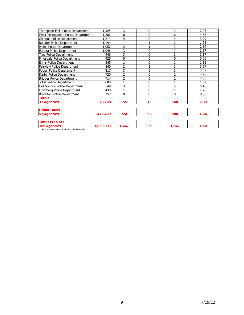| Thompson Falls Police Department             | 1,325     | 3                        | $\mathbf{0}$ | 3              | 2.26 |
|----------------------------------------------|-----------|--------------------------|--------------|----------------|------|
| West Yellowstone Police Department           | 1,282     | 6                        | 0            | 6              | 4.68 |
| Chinook Police Department                    | 1,214     | 4                        | 0            | 4              | 3.29 |
| <b>Boulder Police Department</b>             | 1,194     |                          |              | $\overline{2}$ | 1.68 |
| Plains Police Department                     | 1,057     | $\overline{2}$           |              | 3              | 2.84 |
| Eureka Police Department                     | 1,046     | 3                        | 0            | 3              | 2.87 |
| Troy Police Department                       | 946       | 3                        | 0            | 3              | 3.17 |
| Pinesdale Police Department                  | 925       | 0                        | 0            | $\mathbf 0$    | 0.00 |
| Ennis Police Department                      | 845       |                          | 0            |                | 1.18 |
| <b>Fairview Police Department</b>            | 840       | $\overline{2}$           |              | 3              | 3.57 |
| Poplar Police Department                     | 817       | 3                        | 0            | 3              | 3.67 |
| Darby Police Department                      | 720       | $\overline{2}$           | 0            | 2              | 2.78 |
| <b>Bridger Police Department</b>             | 714       | $\overline{\phantom{a}}$ | 0            | 2              | 2.80 |
| Joliet Police Department                     | 600       |                          | 0            |                | 1.67 |
| Hot Springs Police Department                | 549       | 3                        | 0            | 3              | 5.46 |
| Fromberg Police Department                   | 438       |                          | 0            | $\mathbf{1}$   | 2.28 |
| Brockton Police Department                   | 257       | 0                        | 0            | $\mathbf{0}$   | 0.00 |
| <b>Totals</b>                                |           |                          |              |                |      |
| 37 Agencies                                  | 70,280    | 155                      | 13           | 168            | 2.39 |
| <b>Grand Totals</b>                          |           |                          |              |                |      |
| <b>53 Agencies</b>                           | 475,409   | 724                      | 56           | 780            | 1.64 |
| <b>Totals PD &amp; SO</b>                    |           |                          |              |                |      |
| 109 Agencies                                 | 1,028,003 | 1,447                    | 95           | 1,542          | 1.50 |
| *Police Departments includes 2 Universities. |           |                          |              |                |      |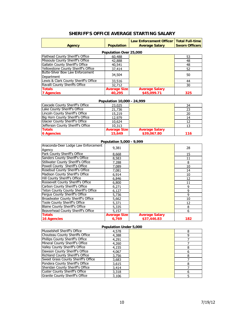|                                           |                            | Law Enforcement Officer   Total Full-time |                       |  |  |  |  |
|-------------------------------------------|----------------------------|-------------------------------------------|-----------------------|--|--|--|--|
| <b>Agency</b>                             | <b>Population</b>          | <b>Average Salary</b>                     | <b>Sworn Officers</b> |  |  |  |  |
| Population Over 25,000                    |                            |                                           |                       |  |  |  |  |
| Flathead County Sheriff's Office          | 60,488                     |                                           | 53                    |  |  |  |  |
| Missoula County Sheriff's Office          | 42,888                     |                                           | 48                    |  |  |  |  |
| Gallatin County Sheriff's Office          | 40,541                     |                                           | 48                    |  |  |  |  |
| Yellowstone County Sheriff's Office       | 37,414                     |                                           | 52                    |  |  |  |  |
| Butte-Silver Bow Law Enforcement          | 34,504                     |                                           | 50                    |  |  |  |  |
| Department                                |                            |                                           |                       |  |  |  |  |
| Lewis & Clark County Sheriff's Office     | 33,516                     |                                           | 44                    |  |  |  |  |
| Ravalli County Sheriffs Office            | 32,712                     |                                           | 30                    |  |  |  |  |
| <b>Totals</b>                             | <b>Average Size</b>        | <b>Average Salary</b>                     |                       |  |  |  |  |
| <b>7 Agencies</b>                         | 40,295                     | \$45,099.71                               | 325                   |  |  |  |  |
|                                           | Population 10,000 - 24,999 |                                           |                       |  |  |  |  |
| Cascade County Sheriff's Office           | 23,025                     |                                           | 34                    |  |  |  |  |
| Lake County Sheriff's Office              | 21,736                     |                                           | 23                    |  |  |  |  |
| Lincoln County Sheriff's Office           | 15,219                     |                                           | 20                    |  |  |  |  |
| Big Horn County Sheriff's Office          | 12,979                     |                                           | 14                    |  |  |  |  |
| <b>Glacier County Sheriff's Office</b>    | 10,624                     |                                           | 12                    |  |  |  |  |
| Jefferson County Sheriff's Office         | 10,313                     |                                           | 13                    |  |  |  |  |
| <b>Totals</b>                             | <b>Average Size</b>        | <b>Average Salary</b>                     |                       |  |  |  |  |
| <b>6 Agencies</b>                         | 15,649                     | \$39,067.80                               | 116                   |  |  |  |  |
|                                           | Population 5,000 - 9,999   |                                           |                       |  |  |  |  |
| Anaconda-Deer Lodge Law Enforcement       | 9,381                      |                                           | 28                    |  |  |  |  |
| Agency                                    |                            |                                           |                       |  |  |  |  |
| Park County Sheriff's Office              | 8,668                      |                                           | 15                    |  |  |  |  |
| <b>Sanders County Sheriff's Office</b>    | 8,583                      |                                           | 11                    |  |  |  |  |
| <b>Stillwater County Sheriff's Office</b> | 7,288                      |                                           | 8                     |  |  |  |  |
| Powell County Sheriff's Office            | 7,089                      |                                           | 10                    |  |  |  |  |
| Rosebud County Sheriff's Office           | 7,081                      |                                           | 14                    |  |  |  |  |
| Madison County Sheriff's Office           | 6,914                      |                                           | 10                    |  |  |  |  |
| Hill County Sheriff's Office              | 6,846                      |                                           | 12                    |  |  |  |  |
| Roosevelt County Sheriff's Office         | 6,800                      |                                           | 11                    |  |  |  |  |
| Carbon County Sheriff's Office            | 6,271                      |                                           | 9                     |  |  |  |  |
| Teton County County Sheriff's Office      | 6,127                      |                                           | $\overline{9}$        |  |  |  |  |
| Fergus County Sheriff's Office            | 5,736                      |                                           | $\overline{9}$        |  |  |  |  |

#### **SHERIFF'S OFFICE AVERAGE STARTING SALARY**

| <b>Population Under 5,000</b>       |       |  |   |  |  |
|-------------------------------------|-------|--|---|--|--|
| Musselshell Sheriff's Office        | 4,578 |  | 8 |  |  |
| Chouteau County Sheriffs Office     | 4,388 |  |   |  |  |
| Phillips County Sheriff's Office    | 4,291 |  |   |  |  |
| Mineral County Sheriff's Office     | 4,260 |  |   |  |  |
| Valley County Sheriff's Office      | 4,155 |  |   |  |  |
| Dawson County Sheriff's Office      | 4,067 |  | 6 |  |  |
| Richland County Sheriff's Office    | 3,756 |  | 8 |  |  |
| Sweet Grass County Sheriff's Office | 3,683 |  |   |  |  |
| Pondera County Sheriff's Office     | 3,615 |  |   |  |  |
| Sheridan County Sheriff's Office    | 3,414 |  |   |  |  |
| Custer County Sheriff's Office      | 3,318 |  | 6 |  |  |
| Granite County Sheriff's Office     | 3.106 |  |   |  |  |

Broadwater County Sheriff's Office **5,662**Toole County Sheriff's Office **5,371**Blaine County Sheriff's Office **5,335**Beaverhead County Sheriff's Office 5,157 6

**16 Agencies 6,769 \$37,446.83 182**

**Totals Average Size Average Salary**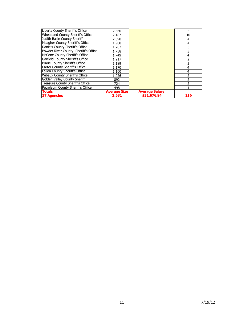| Liberty County Sheriff's Office       | 2,360               |                       | 5.             |
|---------------------------------------|---------------------|-----------------------|----------------|
| Wheatland County Sheriff's Office     | 2,187               |                       | 10             |
| Judith Basin County Sheriff           | 2,090               |                       | 4              |
| Meagher County Sheriff's Office       | 1,908               |                       | 4              |
| Daniels County Sheriff's Office       | 1,767               |                       | 3              |
| Powder River County Sheriff's Office  | 1,758               |                       |                |
| McCone County Sheriff's Office        | 1,749               |                       | 4              |
| Garfield County Sheriff's Office      | 1,217               |                       | 2              |
| Prarie County Sheriff's Office        | 1,189               |                       | 3              |
| Carter County Sheriff's Office        | 1,170               |                       | $\overline{4}$ |
| <b>Fallon County Sheriff's Office</b> | 1,160               |                       | 4              |
| Wibaux County Sheriff's Office        | 1,026               |                       | 2              |
| Golden Valley County Sheriff          | 892                 |                       |                |
| Treasure County Sheriff's Office      | 724                 |                       |                |
| Petroleum County Sheriff's Office     | 498                 |                       |                |
| <b>Totals</b>                         | <b>Average Size</b> | <b>Average Salary</b> |                |
| 27 Agencies                           | 2,531               | \$31,676.94           | 139            |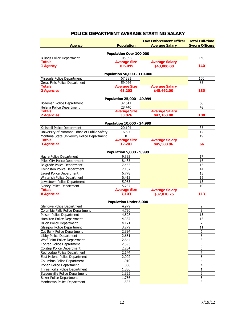|                                               |                               | <b>Law Enforcement Officer</b> | <b>Total Full-time</b> |  |  |  |  |
|-----------------------------------------------|-------------------------------|--------------------------------|------------------------|--|--|--|--|
| <b>Agency</b>                                 | <b>Population</b>             | <b>Average Salary</b>          | <b>Sworn Officers</b>  |  |  |  |  |
| Population Over 100,000                       |                               |                                |                        |  |  |  |  |
| <b>Billings Police Department</b>             | 105,095                       |                                | 140                    |  |  |  |  |
| <b>Totals</b>                                 | <b>Average Size</b>           | <b>Average Salary</b>          |                        |  |  |  |  |
| 1 Agency                                      | 105,095                       | \$43,000.00                    | 140                    |  |  |  |  |
|                                               | Population 50,000 - 110,000   |                                |                        |  |  |  |  |
| Missoula Police Department                    | 67,381                        |                                | 100                    |  |  |  |  |
| Great Falls Police Department                 | 59,024                        |                                | 85                     |  |  |  |  |
| <b>Totals</b>                                 | <b>Average Size</b>           | <b>Average Salary</b>          |                        |  |  |  |  |
| 2 Agencies                                    | 63,203                        | \$45,462.00                    | 185                    |  |  |  |  |
|                                               |                               |                                |                        |  |  |  |  |
|                                               | Population 25,000 - 49,999    |                                |                        |  |  |  |  |
| Bozeman Police Department                     | 37,611                        |                                | 60                     |  |  |  |  |
| Helena Police Department                      | 28,440                        |                                | 48                     |  |  |  |  |
| <b>Totals</b>                                 | <b>Average Size</b>           | <b>Average Salary</b>          |                        |  |  |  |  |
| 2 Agencies                                    | 33,026                        | \$47,163.00                    | 108                    |  |  |  |  |
|                                               | Population 10,000 - 24,999    |                                |                        |  |  |  |  |
| Kalispell Police Department                   | 20,104                        |                                | 35                     |  |  |  |  |
| University of Montana Office of Public Safety | 16,500                        |                                | 12                     |  |  |  |  |
| Montana State University Police Department    | 0                             |                                | 19                     |  |  |  |  |
| <b>Totals</b>                                 | <b>Average Size</b>           | <b>Average Salary</b>          |                        |  |  |  |  |
| 3 Agencies                                    | 12,201                        | \$45,588.96                    | 66                     |  |  |  |  |
|                                               |                               |                                |                        |  |  |  |  |
|                                               | Population 5,000 - 9,999      |                                |                        |  |  |  |  |
| Havre Police Department                       | 9,393                         |                                | 17                     |  |  |  |  |
| Miles City Police Department                  | 8,485                         |                                | 16                     |  |  |  |  |
| Belgrade Police Department                    | 7,455                         |                                | 15                     |  |  |  |  |
| Livingston Police Department                  | 7,107                         |                                | 14                     |  |  |  |  |
| Laurel Police Department                      | 6,778                         |                                | 13                     |  |  |  |  |
| Whitefish Police Department                   | 6,413                         |                                | 15                     |  |  |  |  |
| Lewistown Police Department                   | 5,953                         |                                | 13                     |  |  |  |  |
| Sidney Police Department<br><b>Totals</b>     | 5,237<br><b>Average Size</b>  | <b>Average Salary</b>          | 10                     |  |  |  |  |
| <b>8 Agencies</b>                             | 7,103                         | \$37,810.75                    | 113                    |  |  |  |  |
|                                               |                               |                                |                        |  |  |  |  |
|                                               | <b>Population Under 5,000</b> |                                |                        |  |  |  |  |
| Glendive Police Department                    | 4,979                         |                                | 9                      |  |  |  |  |
| Columbia Falls Police Department              | 4,730                         |                                | 9                      |  |  |  |  |
| Polson Police Department                      | 4,528                         |                                | 13                     |  |  |  |  |
| Hamilton Police Department                    | 4,387                         |                                | 15                     |  |  |  |  |
| Dillon Police Department                      | 4,171                         |                                |                        |  |  |  |  |
| <b>Glasgow Police Department</b>              | 3,279                         |                                | 11                     |  |  |  |  |
| Cut Bank Police Department                    | 2,894                         |                                | 6                      |  |  |  |  |
| Libby Police Department                       | 2,651                         |                                | 6                      |  |  |  |  |
| Wolf Point Police Department                  | 2,644                         |                                | 8                      |  |  |  |  |
| Conrad Police Department                      | 2,593                         |                                | 5                      |  |  |  |  |
| Colstrip Police Department                    | 2,234                         |                                | 6                      |  |  |  |  |
| Red Lodge Police Department                   | 2,144                         |                                | 7                      |  |  |  |  |

#### **POLICE DEPARTMENT AVERAGE STARTING SALARY**

Manhattan Police Department

Red Lodge Police Department 2,144 7<br>
East Helena Police Department 2,002 7 East Helena Police Department 2,002 5<br>
Columbus Police Department 1,910 5 Columbus Police Department 1,910 4<br>
Ronan Police Department 1,888 4 Ronan Police Department 1,888<br>
Three Forks Police Department 1,886 1,886 1 1 Three Forks Police Department 1,886 1<br>Stevensville Police Department 1,825 2 Stevensville Police Department 1,825 2<br>
Baker Police Department 1,756 2 Baker Police Department 1,756 3<br>
Manhattan Police Department 1,533 3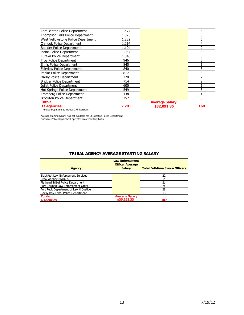| Fort Benton Police Department               | 1,477 |                       | 4        |
|---------------------------------------------|-------|-----------------------|----------|
| Thompson Falls Police Department            | 1,325 |                       | 3        |
| West Yellowstone Police Department          | 1,282 |                       | 6        |
| Chinook Police Department                   | 1,214 |                       | 4        |
| <b>Boulder Police Department</b>            | 1,194 |                       |          |
| Plains Police Department                    | 1,057 |                       |          |
| Eureka Police Department                    | 1,046 |                       | 3        |
| Troy Police Department                      | 946   |                       |          |
| <b>Ennis Police Department</b>              | 845   |                       |          |
| Fairview Police Department                  | 840   |                       |          |
| Poplar Police Department                    | 817   |                       | 3        |
| Darby Police Department                     | 720   |                       |          |
| <b>Bridger Police Department</b>            | 714   |                       |          |
| Joliet Police Department                    | 600   |                       |          |
| Hot Springs Police Department               | 549   |                       |          |
| Fromberg Police Department                  | 438   |                       |          |
| <b>Brockton Police Department</b>           | 257   |                       | $\Omega$ |
| <b>Totals</b>                               |       | <b>Average Salary</b> |          |
| <b>37 Agencies</b>                          | 2,201 | \$32,091.85           | 168      |
| *Police Departments include 2 Universities. |       |                       |          |

Average Starting Salary was not available for St. Ignatius Police Department Pinesdale Police Department operates on a voluntary basis

#### **TRIBAL AGENCY AVERAGE STARTING SALARY**

| Agency                                    | <b>Law Enforcement</b><br><b>Officer Average</b><br><b>Salary</b> | <b>Total Full-time Sworn Officers</b> |
|-------------------------------------------|-------------------------------------------------------------------|---------------------------------------|
| <b>Blackfeet Law Enforcement Services</b> |                                                                   | 22                                    |
| Crow Agency BIA/OJS                       |                                                                   | 14                                    |
| Flathead Tribal Police Department         |                                                                   | 21                                    |
| Fort Belknap Law Enforcement Office       |                                                                   |                                       |
| Fort Peck Department of Law & Justice     |                                                                   | 28                                    |
| Rocky Boy Tribal Police Department        |                                                                   | 13                                    |
| <b>Totals</b>                             | <b>Average Salary</b>                                             |                                       |
| <b>6 Agencies</b>                         | \$35,162.33                                                       | 107                                   |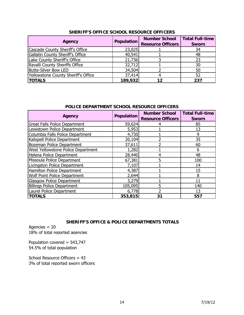|                                     | Population | <b>Number School</b>     | <b>Total Full-time</b> |  |
|-------------------------------------|------------|--------------------------|------------------------|--|
| Agency                              |            | <b>Resource Officers</b> | <b>Sworn</b>           |  |
| Cascade County Sheriff's Office     | 23,025     |                          | 34                     |  |
| Gallatin County Sheriff's Office    | 40,541     |                          | 48                     |  |
| Lake County Sheriff's Office        | 21,736     |                          | 23                     |  |
| Ravalli County Sheriffs Office      | 32,712     |                          | 30                     |  |
| <b>Butte-Silver Bow LED</b>         | 34,504     |                          | 50                     |  |
| Yellowstone County Sheriff's Office | 37,414     | 4                        | 52                     |  |
| <b>TOTALS</b>                       | 189,932    | 12                       | 237                    |  |

#### **SHERIFF'S OFFICE SCHOOL RESOURCE OFFICERS**

#### **POLICE DEPARTMENT SCHOOL RESOURCE OFFICERS**

| Agency                               | <b>Population</b> | <b>Number School</b><br><b>Resource Officers</b> | <b>Total Full-time</b><br><b>Sworn</b> |
|--------------------------------------|-------------------|--------------------------------------------------|----------------------------------------|
| <b>Great Falls Police Department</b> | 59,024            |                                                  | 85                                     |
| Lewistown Police Department          | 5,953             |                                                  | 13                                     |
| Columbia Falls Police Department     | 4,730             |                                                  | 9                                      |
| Kalispell Police Department          | 20,104            |                                                  | 35                                     |
| Bozeman Police Department            | 37,611            |                                                  | 60                                     |
| West Yellowstone Police Department   | 1,282             |                                                  | 6                                      |
| Helena Police Department             | 28,440            | 4                                                | 48                                     |
| Missoula Police Department           | 67,381            | 5                                                | 100                                    |
| Livingston Police Department         | 7,107             |                                                  | 14                                     |
| Hamilton Police Department           | 4,387             |                                                  | 15                                     |
| <b>Wolf Point Police Department</b>  | 2,644             |                                                  | 8                                      |
| <b>Glasgow Police Department</b>     | 3,279             |                                                  | 11                                     |
| <b>Billings Police Department</b>    | 105,095           | 5                                                | 140                                    |
| Laurel Police Department             | 6,778             | っ                                                | 13                                     |
| <b>TOTALS</b>                        | 353,815           | 31                                               | 557                                    |

#### **SHERIFF'S OFFICE & POLICE DEPARTMENTS TOTALS**

Agencies = 20 18% of total reported agencies

Population covered = 543,747 54.5% of total population

School Resource Officers = 43 3% of total reported sworn officers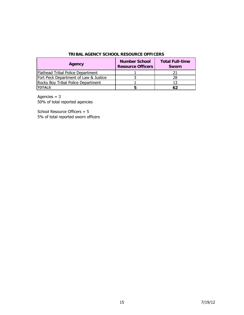| TRIBAL AGENCY SCHOOL RESOURCE OFFICERS |  |  |
|----------------------------------------|--|--|
|                                        |  |  |

| Agency                                | <b>Number School</b><br><b>Resource Officers</b> | <b>Total Full-time</b><br><b>Sworn</b> |
|---------------------------------------|--------------------------------------------------|----------------------------------------|
| Flathead Tribal Police Department     |                                                  |                                        |
| Fort Peck Department of Law & Justice |                                                  |                                        |
| Rocky Boy Tribal Police Department    |                                                  |                                        |
| <b>TOTALS</b>                         |                                                  | 62                                     |

Agencies  $= 3$ 

50% of total reported agencies

School Resource Officers = 5 5% of total reported sworn officers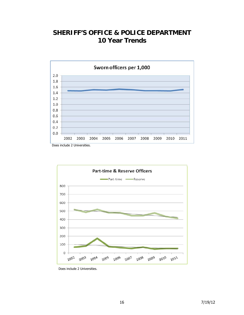# **SHERIFF'S OFFICE & POLICE DEPARTMENT 10 Year Trends**







Does include 2 Universities.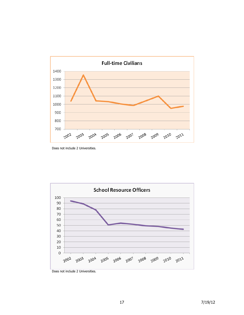

Does not include 2 Universities.



Does not include 2 Universities.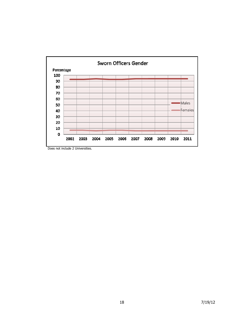

Does not include 2 Universities.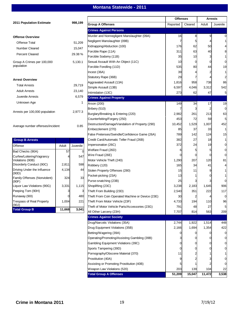#### **Montana Statewide - 2011**

|                                       |        |          |                                                  | <b>Offenses</b> |         | <b>Arrests</b> |          |
|---------------------------------------|--------|----------|--------------------------------------------------|-----------------|---------|----------------|----------|
| <b>2011 Population Estimate</b>       |        | 998,199  | <b>Group A Offenses</b>                          | Reported        | Cleared | Adult          | Juvenile |
|                                       |        |          | <b>Crimes Against Persons</b>                    |                 |         |                |          |
| <b>Offense Overview</b>               |        |          | Murder and Nonnegligent Manslaughter (09A)       | 16              | 8       | 9              |          |
| <b>Offense Total</b>                  |        | 51,209   | Negligent Manslaughter (09B)                     |                 | 5       | 4              |          |
|                                       |        |          | Kidnapping/Abduction (100)                       | 176             | 62      | 50             |          |
| <b>Number Cleared</b>                 |        | 15,047   | Forcible Rape (11A)                              | 311             | 63      | 40             |          |
| <b>Percent Cleared</b>                |        | 29.38 %  | Forcible Sodomy (11B)                            | 35              | 10      | 3              |          |
| Group A Crimes per 100,000            |        | 5,130.1  | Sexual Assault With An Object (11C)              | 10              | 0       | 0              | $\Omega$ |
| population                            |        |          | Forcible Fondling (11D)                          | 535             | 80      | 44             | 19       |
|                                       |        |          | Incest (36A)                                     | 39              |         |                | -1       |
|                                       |        |          | Statutory Rape (36B)                             | 29              |         |                |          |
| <b>Arrest Overview</b>                |        |          | Aggravated Assault (13A)                         | 1,816           | 958     | 738            | 86       |
| <b>Total Arrests</b>                  |        | 29,719   | Simple Assault (13B)                             | 6,597           | 4,046   | 3,312          | 542      |
| <b>Adult Arrests</b>                  |        | 23,140   | Intimidation (13C)                               | 273             | 62      | 47             | 5        |
| Juvenile Arrests                      |        | 6,579    | <b>Crimes Against Property</b>                   |                 |         |                |          |
| Unknown Age                           |        | 1        | Arson (200)                                      | 149             | 34      | 17             | 19       |
|                                       |        |          | Bribery (510)                                    |                 | 3       |                | $\Omega$ |
| Arrests per 100,000 population        |        | 2,977.3  | Burglary/Breaking & Entering (220)               | 2,982           | 261     | 213            | 63       |
|                                       |        |          | Counterfeiting/Forgery (250)                     | 453             | 72      | 59             | 5        |
|                                       |        |          | Destruction/Damage/Vandalism of Property (290)   | 10,452          | 1,529   | 1,007          | 452      |
| Average number offenses/incident      |        | 0.85     | Embezzlement (270)                               | 85              | 37      | 33             |          |
|                                       |        |          | False Pretenses/Swindle/Confidence Game (26A)    | 789             | 142     | 124            | 15       |
| <b>Group B Arrests</b>                |        |          | Credit Card/Automatic Teller Fraud (26B)         | 382             | 27      | 18             |          |
| <b>Offense</b>                        | Adult  | Juvenile | Impersonation (26C)                              | 372             | 24      | 19             |          |
| Bad Checks (90A)                      | 57     | $\Omega$ | Welfare Fraud (26D)                              |                 | 5       | 5              | $\Omega$ |
| Curfew/Loitering/Vagrancy             |        | 547      | Wire Fraud (26E)                                 |                 | 0       | 0              | $\Omega$ |
| Violations (90B)                      |        |          | Motor Vehicle Theft (240)                        | 1,290           | 207     | 120            | 81       |
| Disorderly Conduct (90C)              | 2,811  | 598      | Robbery (120)                                    | 165             | 34      | 41             |          |
| Driving Under the Influence           | 4,134  | 44       | Stolen Property Offenses (280)                   | 15              | 11      |                |          |
| (90D)<br>Family Offenses (Nonviolent) | 324    | 33       | Pocket-picking (23A)                             | 13              |         |                |          |
| (90F)                                 |        |          | Purse-snatching (23B)                            | 25              |         |                | $\Omega$ |
| Liquor Law Violations (90G)           | 3,331  | 1,115    | Shoplifting (23C)                                | 3,238           | 2,183   | 1,645          | 906      |
| Peeping Tom (90H)                     |        | 3        | Theft From Building (23D)                        | 2,540           | 351     | 222            | 117      |
| Runaway (90I)                         |        | 480      | Theft From Coin Operated Machine or Device (23E) | 30              |         |                | U        |
| Trespass of Real Property             | 1,004  | 221      | Theft From Motor Vehicle (23F)                   | 4,733           | 194     | 110            | 96       |
| (90J)                                 |        |          | Theft of Motor Vehicle Parts/Accessories (23G)   | 791             | 48      | 27             |          |
| <b>Total Group B</b>                  | 11,668 | 3,041    | All Other Larceny (23H)                          | 7,707           | 814     | 563            | 209      |
|                                       |        |          | <b>Crimes Against Society</b>                    |                 |         |                |          |
|                                       |        |          | Drug/Narcotic Violations (35A)                   | 2,744           | 1,922   | 1,514          | 448      |
|                                       |        |          | Drug Equipment Violations (35B)                  | 2,166           | 1,694   | 1,354          | 422      |
|                                       |        |          | Betting/Wagering (39A)                           |                 |         |                | 0        |
|                                       |        |          | Operating/Promoting/Assisting Gambling (39B)     |                 |         |                | 0        |
|                                       |        |          | Gambling Equipment Violations (39C)              |                 |         |                | 0        |
|                                       |        |          | Sports Tampering (39D)                           |                 |         |                | 0        |
|                                       |        |          | Pornography/Obscene Material (370)               | 11              |         |                |          |
|                                       |        |          | Prostitution (40A)                               |                 |         |                | 0        |
|                                       |        |          | Assisting or Promoting Prostitution (40B)        |                 |         |                |          |
|                                       |        |          | Weapon Law Violations (520)                      | 203             | 139     | 104            | 22       |
|                                       |        |          | <b>Total Group A Offenses</b>                    | 51,209          | 15,047  | 11,472         | 3,538    |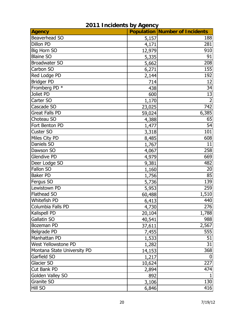| <b>Agency</b>               |        | <b>Population Number of Incidents</b> |
|-----------------------------|--------|---------------------------------------|
| Beaverhead SO               | 5,157  | 188                                   |
| Dillon PD                   | 4,171  | 281                                   |
| <b>Big Horn SO</b>          | 12,979 | 910                                   |
| <b>Blaine SO</b>            | 5,335  | 91                                    |
| <b>Broadwater SO</b>        | 5,662  | 208                                   |
| Carbon SO                   | 6,271  | 155                                   |
| Red Lodge PD                | 2,144  | 192                                   |
| <b>Bridger PD</b>           | 714    | 12                                    |
| Fromberg PD *               | 438    | 34                                    |
| Joliet PD                   | 600    | 13                                    |
| Carter SO                   | 1,170  |                                       |
| Cascade SO                  | 23,025 | 742                                   |
| <b>Great Falls PD</b>       | 59,024 | 6,385                                 |
| Choteau SO                  | 4,388  | 65                                    |
| Fort Benton PD              | 1,477  | 54                                    |
| Custer SO                   | 3,318  | 101                                   |
| Miles City PD               | 8,485  | 608                                   |
| Daniels SO                  | 1,767  | 11                                    |
| Dawson SO                   | 4,067  | 258                                   |
| <b>Glendive PD</b>          | 4,979  | 669                                   |
| Deer Lodge SO               | 9,381  | 482                                   |
| Fallon SO                   | 1,160  | 20                                    |
| <b>Baker PD</b>             | 1,756  | 85                                    |
| Fergus SO                   | 5,736  | 139                                   |
| Lewistown PD                | 5,953  | 259                                   |
| <b>Flathead SO</b>          | 60,488 | 1,510                                 |
| Whitefish PD                | 6,413  | 440                                   |
| Columbia Falls PD           | 4,730  | 276                                   |
| Kalispell PD                | 20,104 | 1,788                                 |
| Gallatin SO                 | 40,541 | 988                                   |
| Bozeman PD                  | 37,611 | 2,567                                 |
| Belgrade PD                 | 7,455  | 555                                   |
| Manhattan PD                | 1,533  | 51                                    |
| West Yellowstone PD         | 1,282  | 31                                    |
| Montana State University PD | 14,153 | 368                                   |
| Garfield SO                 | 1,217  | $\mathbf{0}$                          |
| Glacier SO                  | 10,624 | 227                                   |
| Cut Bank PD                 | 2,894  | 474                                   |
| Golden Valley SO            | 892    |                                       |
| Granite SO                  | 3,106  | 130                                   |
| Hill SO                     | 6,846  | 416                                   |

## **2011 Incidents by Agency**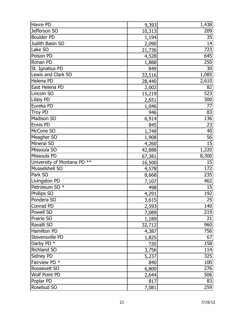| Havre PD                    | 9,393  | 1,438           |
|-----------------------------|--------|-----------------|
| Jefferson SO                | 10,313 | 209             |
| <b>Boulder PD</b>           | 1,194  | 35              |
| Judith Basin SO             | 2,090  | 14              |
| Lake SO                     | 21,736 | 723             |
| Polson PD                   | 4,528  | 645             |
| Ronan PD                    | 1,888  | 250             |
| St. Ignatius PD             | 849    | 30              |
| Lewis and Clark SO          | 33,516 | 1,085           |
| Helena PD                   | 28,440 | 2,610           |
| East Helena PD              | 2,002  | 82              |
| Lincoln SO                  | 15,219 | 523             |
| Libby PD                    | 2,651  | 300             |
| Eureka PD                   | 1,046  | 77              |
| <b>Troy PD</b>              | 946    | 83              |
| Madison SO                  | 6,914  | 136             |
| Ennis PD                    | 845    | 23              |
| McCone SO                   | 1,749  | 40              |
| Meagher SO                  | 1,908  | 56              |
| Mineral SO                  | 4,260  | 15              |
| Missoula SO                 | 42,888 | 1,220           |
| Missoula PD                 | 67,381 | 8,300           |
| University of Montana PD ** | 16,500 | 15              |
| Musselshell SO              | 4,578  | 172             |
| Park SO                     | 8,668  | 235             |
| Livingston PD               | 7,107  | 462             |
| Petroleum SO <sup>*</sup>   | 498    | 15              |
| Phillips SO                 | 4,291  | 192             |
| Pondera SO                  | 3,615  | $\overline{25}$ |
| Conrad PD                   | 2,593  | 140             |
| Powell SO                   | 7,089  | 219             |
| Prairie SO                  | 1,189  | 21              |
| Ravalli SO                  | 32,712 | 960             |
| Hamilton PD                 | 4,387  | 756             |
| Stevensville PD             | 1,825  | 67              |
| Darby PD <sup>*</sup>       | 720    | 158             |
| <b>Richland SO</b>          | 3,756  | 114             |
| Sidney PD                   | 5,237  | 325             |
| Fairview PD *               | 840    | 100             |
| Roosevelt SO                | 6,800  | 276             |
| <b>Wolf Point PD</b>        | 2,644  | 506             |
| Poplar PD                   | 817    | 83              |
| Rosebud SO                  | 7,081  | 259             |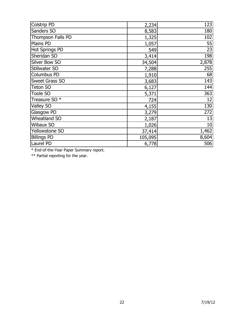| Colstrip PD              | 2,234   | 123   |
|--------------------------|---------|-------|
| Sanders SO               | 8,583   | 180   |
| Thompson Falls PD        | 1,325   | 102   |
| Plains PD                | 1,057   | 55    |
| <b>Hot Springs PD</b>    | 549     | 23    |
| Sheridan SO              | 3,414   | 198   |
| Silver Bow SO            | 34,504  | 2,878 |
| Stillwater SO            | 7,288   | 255   |
| <b>Columbus PD</b>       | 1,910   | 68    |
| <b>Sweet Grass SO</b>    | 3,683   | 143   |
| <b>Teton SO</b>          | 6,127   | 144   |
| <b>Toole SO</b>          | 5,371   | 363   |
| Treasure SO <sup>*</sup> | 724     | 12    |
| <b>Valley SO</b>         | 4,155   | 130   |
| <b>Glasgow PD</b>        | 3,279   | 272   |
| <b>Wheatland SO</b>      | 2,187   | 13    |
| <b>Wibaux SO</b>         | 1,026   | 10    |
| Yellowstone SO           | 37,414  | 1,462 |
| <b>Billings PD</b>       | 105,095 | 8,604 |
| Laurel PD                | 6,778   | 506   |

\* End-of-the-Year Paper Summary report.

\*\* Partial reporting for the year.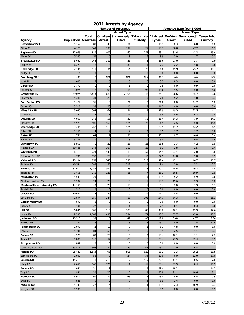| <b>Arrest Type</b><br><b>Arrest Type</b><br>Taken Into All Arrest On-View Summoned/ Taken Into<br>On-View<br>Summoned/<br>Total<br><b>Population Arrestees</b><br>Arrest<br>Cited<br>Custody<br><b>Types</b><br>Arrest<br>Cited<br>Custody<br>Agency<br>5,157<br>83<br>43<br>31<br>9<br>6.0<br><b>Beaverhead SO</b><br>16.1<br>8.3<br>349<br>125<br>197<br>27<br>83.7<br>30.0<br>47.2<br>Dillon PD<br>4,171<br>407<br>160<br>252<br>12,979<br>819<br>63.1<br>31.4<br>12.3<br><b>Big Horn SO</b><br>16<br>28<br>5,335<br>53<br>9<br>9.9<br>3.0<br>1.7<br><b>Blaine SO</b><br>5,662<br>119<br>21<br>5<br>25.6<br>3.7<br>145<br>21.0<br><b>Broadwater SO</b><br>Carbon SO<br>6,271<br>48<br>14<br>30<br>4<br>7.7<br>2.2<br>4.8<br>111<br>34<br>54<br>23<br>25.2<br>2,144<br>51.8<br>15.9<br><b>Red Lodge PD</b><br>$\mathbf{0}$<br>714<br>$\mathbf{0}$<br>$\mathbf{0}$<br>$\mathbf{0}$<br>0.0<br>0.0<br>0.0<br><b>Bridger PD</b><br>Fromberg PD *<br>438<br>18<br>N/A<br>N/A<br>N/A<br>41.1<br>N/A<br>N/A<br>Joliet PD<br>600<br>5<br>5<br>$\mathbf{0}$<br>$\bf{0}$<br>8.3<br>8.3<br>0.0<br>1,170<br>$\mathbf{0}$<br>$\mathbf 0$<br>0.9<br>0.0<br>0.9<br>Carter SO<br>$\mathbf{1}$<br>92<br>23,025<br>312<br>104<br>116<br>13.6<br>4.5<br>5.0<br>Cascade SO<br>35.7<br>59,024<br>3,843<br>1,689<br>2,106<br>48<br>65.1<br>28.6<br><b>Great Falls PD</b><br>Choteau SO<br>4,388<br>34<br>23<br>8<br>3<br>7.8<br>5.2<br>1.8<br>10<br>1,477<br>31<br>0<br>21<br>21.0<br>0.0<br>14.2<br><b>Fort Benton PD</b><br>$\overline{2}$<br>3,318<br>38<br>20<br>16<br>6.0<br>4.8<br>Custer SO<br>11.5<br>164<br>9<br>8,485<br>364<br>191<br>42.9<br>19.3<br>22.5<br><b>Miles City PD</b><br>$\mathbf{0}$<br>12<br>Daniels SO<br>1,767<br>11<br>0.6<br>6.2<br>$\overline{1}$<br>6.8<br>58<br>58<br>32<br>7.9<br>4,067<br>148<br>36.4<br>14.3<br>Dawson SO<br>72<br>4,979<br>162<br>174<br>32.5<br>35.0<br>408<br>81.9<br><b>Glendive PD</b><br>9,381<br>252<br>110<br>124<br>18<br>26.9<br>13.2<br>Deer Lodge SO<br>11.7<br>$\overline{2}$<br>$\mathbf{0}$<br>$\overline{2}$<br>1.7<br>1.7<br>1,160<br>$\overline{4}$<br>3.5<br>Fallon SO<br>1,756<br>17<br>26<br>25.1<br>9.7<br><b>Baker PD</b><br>44<br>1<br>14.8<br>$\overline{3}$<br>19<br>9<br>5,736<br>31<br>5.4<br>3.3<br>0.5<br>Fergus SO<br>70<br>22<br>23<br>5,953<br>25<br>3.7<br>4.2<br><b>Lewistown PD</b><br>11.8 |
|-----------------------------------------------------------------------------------------------------------------------------------------------------------------------------------------------------------------------------------------------------------------------------------------------------------------------------------------------------------------------------------------------------------------------------------------------------------------------------------------------------------------------------------------------------------------------------------------------------------------------------------------------------------------------------------------------------------------------------------------------------------------------------------------------------------------------------------------------------------------------------------------------------------------------------------------------------------------------------------------------------------------------------------------------------------------------------------------------------------------------------------------------------------------------------------------------------------------------------------------------------------------------------------------------------------------------------------------------------------------------------------------------------------------------------------------------------------------------------------------------------------------------------------------------------------------------------------------------------------------------------------------------------------------------------------------------------------------------------------------------------------------------------------------------------------------------------------------------------------------------------------------------------------------------------------------------------------------------------------------------------------------------------------------------------------------------------------------------------------------------------------------------------------------------------------------------------------------------------------------------------------------------------------------------------------------------------------------------------------------|
|                                                                                                                                                                                                                                                                                                                                                                                                                                                                                                                                                                                                                                                                                                                                                                                                                                                                                                                                                                                                                                                                                                                                                                                                                                                                                                                                                                                                                                                                                                                                                                                                                                                                                                                                                                                                                                                                                                                                                                                                                                                                                                                                                                                                                                                                                                                                                                 |
|                                                                                                                                                                                                                                                                                                                                                                                                                                                                                                                                                                                                                                                                                                                                                                                                                                                                                                                                                                                                                                                                                                                                                                                                                                                                                                                                                                                                                                                                                                                                                                                                                                                                                                                                                                                                                                                                                                                                                                                                                                                                                                                                                                                                                                                                                                                                                                 |
|                                                                                                                                                                                                                                                                                                                                                                                                                                                                                                                                                                                                                                                                                                                                                                                                                                                                                                                                                                                                                                                                                                                                                                                                                                                                                                                                                                                                                                                                                                                                                                                                                                                                                                                                                                                                                                                                                                                                                                                                                                                                                                                                                                                                                                                                                                                                                                 |
|                                                                                                                                                                                                                                                                                                                                                                                                                                                                                                                                                                                                                                                                                                                                                                                                                                                                                                                                                                                                                                                                                                                                                                                                                                                                                                                                                                                                                                                                                                                                                                                                                                                                                                                                                                                                                                                                                                                                                                                                                                                                                                                                                                                                                                                                                                                                                                 |
|                                                                                                                                                                                                                                                                                                                                                                                                                                                                                                                                                                                                                                                                                                                                                                                                                                                                                                                                                                                                                                                                                                                                                                                                                                                                                                                                                                                                                                                                                                                                                                                                                                                                                                                                                                                                                                                                                                                                                                                                                                                                                                                                                                                                                                                                                                                                                                 |
|                                                                                                                                                                                                                                                                                                                                                                                                                                                                                                                                                                                                                                                                                                                                                                                                                                                                                                                                                                                                                                                                                                                                                                                                                                                                                                                                                                                                                                                                                                                                                                                                                                                                                                                                                                                                                                                                                                                                                                                                                                                                                                                                                                                                                                                                                                                                                                 |
|                                                                                                                                                                                                                                                                                                                                                                                                                                                                                                                                                                                                                                                                                                                                                                                                                                                                                                                                                                                                                                                                                                                                                                                                                                                                                                                                                                                                                                                                                                                                                                                                                                                                                                                                                                                                                                                                                                                                                                                                                                                                                                                                                                                                                                                                                                                                                                 |
|                                                                                                                                                                                                                                                                                                                                                                                                                                                                                                                                                                                                                                                                                                                                                                                                                                                                                                                                                                                                                                                                                                                                                                                                                                                                                                                                                                                                                                                                                                                                                                                                                                                                                                                                                                                                                                                                                                                                                                                                                                                                                                                                                                                                                                                                                                                                                                 |
|                                                                                                                                                                                                                                                                                                                                                                                                                                                                                                                                                                                                                                                                                                                                                                                                                                                                                                                                                                                                                                                                                                                                                                                                                                                                                                                                                                                                                                                                                                                                                                                                                                                                                                                                                                                                                                                                                                                                                                                                                                                                                                                                                                                                                                                                                                                                                                 |
|                                                                                                                                                                                                                                                                                                                                                                                                                                                                                                                                                                                                                                                                                                                                                                                                                                                                                                                                                                                                                                                                                                                                                                                                                                                                                                                                                                                                                                                                                                                                                                                                                                                                                                                                                                                                                                                                                                                                                                                                                                                                                                                                                                                                                                                                                                                                                                 |
|                                                                                                                                                                                                                                                                                                                                                                                                                                                                                                                                                                                                                                                                                                                                                                                                                                                                                                                                                                                                                                                                                                                                                                                                                                                                                                                                                                                                                                                                                                                                                                                                                                                                                                                                                                                                                                                                                                                                                                                                                                                                                                                                                                                                                                                                                                                                                                 |
|                                                                                                                                                                                                                                                                                                                                                                                                                                                                                                                                                                                                                                                                                                                                                                                                                                                                                                                                                                                                                                                                                                                                                                                                                                                                                                                                                                                                                                                                                                                                                                                                                                                                                                                                                                                                                                                                                                                                                                                                                                                                                                                                                                                                                                                                                                                                                                 |
|                                                                                                                                                                                                                                                                                                                                                                                                                                                                                                                                                                                                                                                                                                                                                                                                                                                                                                                                                                                                                                                                                                                                                                                                                                                                                                                                                                                                                                                                                                                                                                                                                                                                                                                                                                                                                                                                                                                                                                                                                                                                                                                                                                                                                                                                                                                                                                 |
|                                                                                                                                                                                                                                                                                                                                                                                                                                                                                                                                                                                                                                                                                                                                                                                                                                                                                                                                                                                                                                                                                                                                                                                                                                                                                                                                                                                                                                                                                                                                                                                                                                                                                                                                                                                                                                                                                                                                                                                                                                                                                                                                                                                                                                                                                                                                                                 |
|                                                                                                                                                                                                                                                                                                                                                                                                                                                                                                                                                                                                                                                                                                                                                                                                                                                                                                                                                                                                                                                                                                                                                                                                                                                                                                                                                                                                                                                                                                                                                                                                                                                                                                                                                                                                                                                                                                                                                                                                                                                                                                                                                                                                                                                                                                                                                                 |
|                                                                                                                                                                                                                                                                                                                                                                                                                                                                                                                                                                                                                                                                                                                                                                                                                                                                                                                                                                                                                                                                                                                                                                                                                                                                                                                                                                                                                                                                                                                                                                                                                                                                                                                                                                                                                                                                                                                                                                                                                                                                                                                                                                                                                                                                                                                                                                 |
|                                                                                                                                                                                                                                                                                                                                                                                                                                                                                                                                                                                                                                                                                                                                                                                                                                                                                                                                                                                                                                                                                                                                                                                                                                                                                                                                                                                                                                                                                                                                                                                                                                                                                                                                                                                                                                                                                                                                                                                                                                                                                                                                                                                                                                                                                                                                                                 |
|                                                                                                                                                                                                                                                                                                                                                                                                                                                                                                                                                                                                                                                                                                                                                                                                                                                                                                                                                                                                                                                                                                                                                                                                                                                                                                                                                                                                                                                                                                                                                                                                                                                                                                                                                                                                                                                                                                                                                                                                                                                                                                                                                                                                                                                                                                                                                                 |
|                                                                                                                                                                                                                                                                                                                                                                                                                                                                                                                                                                                                                                                                                                                                                                                                                                                                                                                                                                                                                                                                                                                                                                                                                                                                                                                                                                                                                                                                                                                                                                                                                                                                                                                                                                                                                                                                                                                                                                                                                                                                                                                                                                                                                                                                                                                                                                 |
|                                                                                                                                                                                                                                                                                                                                                                                                                                                                                                                                                                                                                                                                                                                                                                                                                                                                                                                                                                                                                                                                                                                                                                                                                                                                                                                                                                                                                                                                                                                                                                                                                                                                                                                                                                                                                                                                                                                                                                                                                                                                                                                                                                                                                                                                                                                                                                 |
|                                                                                                                                                                                                                                                                                                                                                                                                                                                                                                                                                                                                                                                                                                                                                                                                                                                                                                                                                                                                                                                                                                                                                                                                                                                                                                                                                                                                                                                                                                                                                                                                                                                                                                                                                                                                                                                                                                                                                                                                                                                                                                                                                                                                                                                                                                                                                                 |
|                                                                                                                                                                                                                                                                                                                                                                                                                                                                                                                                                                                                                                                                                                                                                                                                                                                                                                                                                                                                                                                                                                                                                                                                                                                                                                                                                                                                                                                                                                                                                                                                                                                                                                                                                                                                                                                                                                                                                                                                                                                                                                                                                                                                                                                                                                                                                                 |
|                                                                                                                                                                                                                                                                                                                                                                                                                                                                                                                                                                                                                                                                                                                                                                                                                                                                                                                                                                                                                                                                                                                                                                                                                                                                                                                                                                                                                                                                                                                                                                                                                                                                                                                                                                                                                                                                                                                                                                                                                                                                                                                                                                                                                                                                                                                                                                 |
|                                                                                                                                                                                                                                                                                                                                                                                                                                                                                                                                                                                                                                                                                                                                                                                                                                                                                                                                                                                                                                                                                                                                                                                                                                                                                                                                                                                                                                                                                                                                                                                                                                                                                                                                                                                                                                                                                                                                                                                                                                                                                                                                                                                                                                                                                                                                                                 |
|                                                                                                                                                                                                                                                                                                                                                                                                                                                                                                                                                                                                                                                                                                                                                                                                                                                                                                                                                                                                                                                                                                                                                                                                                                                                                                                                                                                                                                                                                                                                                                                                                                                                                                                                                                                                                                                                                                                                                                                                                                                                                                                                                                                                                                                                                                                                                                 |
|                                                                                                                                                                                                                                                                                                                                                                                                                                                                                                                                                                                                                                                                                                                                                                                                                                                                                                                                                                                                                                                                                                                                                                                                                                                                                                                                                                                                                                                                                                                                                                                                                                                                                                                                                                                                                                                                                                                                                                                                                                                                                                                                                                                                                                                                                                                                                                 |
|                                                                                                                                                                                                                                                                                                                                                                                                                                                                                                                                                                                                                                                                                                                                                                                                                                                                                                                                                                                                                                                                                                                                                                                                                                                                                                                                                                                                                                                                                                                                                                                                                                                                                                                                                                                                                                                                                                                                                                                                                                                                                                                                                                                                                                                                                                                                                                 |
|                                                                                                                                                                                                                                                                                                                                                                                                                                                                                                                                                                                                                                                                                                                                                                                                                                                                                                                                                                                                                                                                                                                                                                                                                                                                                                                                                                                                                                                                                                                                                                                                                                                                                                                                                                                                                                                                                                                                                                                                                                                                                                                                                                                                                                                                                                                                                                 |
| 167<br>152<br>25<br>344<br>5.7<br>2.8<br>2.5<br>60,488<br>Flathead SO                                                                                                                                                                                                                                                                                                                                                                                                                                                                                                                                                                                                                                                                                                                                                                                                                                                                                                                                                                                                                                                                                                                                                                                                                                                                                                                                                                                                                                                                                                                                                                                                                                                                                                                                                                                                                                                                                                                                                                                                                                                                                                                                                                                                                                                                                           |
| 63<br>224<br>148<br>13<br>23.1<br>2.0<br>6,413<br>34.9<br><b>Whitefish PD</b>                                                                                                                                                                                                                                                                                                                                                                                                                                                                                                                                                                                                                                                                                                                                                                                                                                                                                                                                                                                                                                                                                                                                                                                                                                                                                                                                                                                                                                                                                                                                                                                                                                                                                                                                                                                                                                                                                                                                                                                                                                                                                                                                                                                                                                                                                   |
| 4,730<br>18<br>42<br>130<br>70<br>27.5<br>3.8<br>Columbia Falls PD<br>14.8                                                                                                                                                                                                                                                                                                                                                                                                                                                                                                                                                                                                                                                                                                                                                                                                                                                                                                                                                                                                                                                                                                                                                                                                                                                                                                                                                                                                                                                                                                                                                                                                                                                                                                                                                                                                                                                                                                                                                                                                                                                                                                                                                                                                                                                                                      |
| 853<br>243<br>295<br>315<br>20,104<br>42.4<br>12.1<br>14.7<br><b>Kalispell PD</b>                                                                                                                                                                                                                                                                                                                                                                                                                                                                                                                                                                                                                                                                                                                                                                                                                                                                                                                                                                                                                                                                                                                                                                                                                                                                                                                                                                                                                                                                                                                                                                                                                                                                                                                                                                                                                                                                                                                                                                                                                                                                                                                                                                                                                                                                               |
| 388<br>155<br>212<br>21<br>3.8<br>5.2<br>Gallatin SO<br>40,541<br>9.6                                                                                                                                                                                                                                                                                                                                                                                                                                                                                                                                                                                                                                                                                                                                                                                                                                                                                                                                                                                                                                                                                                                                                                                                                                                                                                                                                                                                                                                                                                                                                                                                                                                                                                                                                                                                                                                                                                                                                                                                                                                                                                                                                                                                                                                                                           |
| 392<br>38<br>19.2<br>37,611<br>1,153<br>723<br>30.7<br>10.4<br><b>Bozeman PD</b>                                                                                                                                                                                                                                                                                                                                                                                                                                                                                                                                                                                                                                                                                                                                                                                                                                                                                                                                                                                                                                                                                                                                                                                                                                                                                                                                                                                                                                                                                                                                                                                                                                                                                                                                                                                                                                                                                                                                                                                                                                                                                                                                                                                                                                                                                |
| $\overline{7}$<br>7,455<br>211<br>123<br>81<br>28.3<br>16.5<br>10.9<br>Belgrade PD                                                                                                                                                                                                                                                                                                                                                                                                                                                                                                                                                                                                                                                                                                                                                                                                                                                                                                                                                                                                                                                                                                                                                                                                                                                                                                                                                                                                                                                                                                                                                                                                                                                                                                                                                                                                                                                                                                                                                                                                                                                                                                                                                                                                                                                                              |
| 3<br>1,533<br>8<br>9<br>13.1<br>5.2<br>5.9<br><b>Manhattan PD</b><br>20                                                                                                                                                                                                                                                                                                                                                                                                                                                                                                                                                                                                                                                                                                                                                                                                                                                                                                                                                                                                                                                                                                                                                                                                                                                                                                                                                                                                                                                                                                                                                                                                                                                                                                                                                                                                                                                                                                                                                                                                                                                                                                                                                                                                                                                                                         |
| 20<br>$\overline{3}$<br>$\mathbf{1}$<br>1,282<br>24<br>18.7<br>15.6<br>2.3<br>West Yellowstone PD                                                                                                                                                                                                                                                                                                                                                                                                                                                                                                                                                                                                                                                                                                                                                                                                                                                                                                                                                                                                                                                                                                                                                                                                                                                                                                                                                                                                                                                                                                                                                                                                                                                                                                                                                                                                                                                                                                                                                                                                                                                                                                                                                                                                                                                               |
| 14,153<br>48<br>28<br>19<br>3.4<br>2.0<br>1.3<br>Montana State University PD<br>1                                                                                                                                                                                                                                                                                                                                                                                                                                                                                                                                                                                                                                                                                                                                                                                                                                                                                                                                                                                                                                                                                                                                                                                                                                                                                                                                                                                                                                                                                                                                                                                                                                                                                                                                                                                                                                                                                                                                                                                                                                                                                                                                                                                                                                                                               |
| $\bf{0}$<br>1,217<br>$\pmb{0}$<br>$\bf{0}$<br>$\bf{0}$<br>0.0<br>Garfield SO<br>0.0<br>0.0                                                                                                                                                                                                                                                                                                                                                                                                                                                                                                                                                                                                                                                                                                                                                                                                                                                                                                                                                                                                                                                                                                                                                                                                                                                                                                                                                                                                                                                                                                                                                                                                                                                                                                                                                                                                                                                                                                                                                                                                                                                                                                                                                                                                                                                                      |
| 10,624<br>89<br>$\mathbf{0}$<br>29<br>0.0<br>Glacier SO<br>118<br>11.1<br>8.4                                                                                                                                                                                                                                                                                                                                                                                                                                                                                                                                                                                                                                                                                                                                                                                                                                                                                                                                                                                                                                                                                                                                                                                                                                                                                                                                                                                                                                                                                                                                                                                                                                                                                                                                                                                                                                                                                                                                                                                                                                                                                                                                                                                                                                                                                   |
| 2,894<br>359<br>244<br>13<br>102<br>124.1<br>84.3<br>4.5<br>Cut Bank PD                                                                                                                                                                                                                                                                                                                                                                                                                                                                                                                                                                                                                                                                                                                                                                                                                                                                                                                                                                                                                                                                                                                                                                                                                                                                                                                                                                                                                                                                                                                                                                                                                                                                                                                                                                                                                                                                                                                                                                                                                                                                                                                                                                                                                                                                                         |
| 892<br>0<br>$\bf{0}$<br>$\mathbf 0$<br>0<br>0.0<br>0.0<br>0.0<br>Golden Valley SO                                                                                                                                                                                                                                                                                                                                                                                                                                                                                                                                                                                                                                                                                                                                                                                                                                                                                                                                                                                                                                                                                                                                                                                                                                                                                                                                                                                                                                                                                                                                                                                                                                                                                                                                                                                                                                                                                                                                                                                                                                                                                                                                                                                                                                                                               |
| 3,106<br>19<br>$\overline{2}$<br>7.1<br>0.3<br>Granite SO<br>22<br>$\mathbf{1}$<br>6.1                                                                                                                                                                                                                                                                                                                                                                                                                                                                                                                                                                                                                                                                                                                                                                                                                                                                                                                                                                                                                                                                                                                                                                                                                                                                                                                                                                                                                                                                                                                                                                                                                                                                                                                                                                                                                                                                                                                                                                                                                                                                                                                                                                                                                                                                          |
| 6,846<br>110<br>86<br>Hill SO<br>305<br>109<br>44.6<br>16.1<br>15.9                                                                                                                                                                                                                                                                                                                                                                                                                                                                                                                                                                                                                                                                                                                                                                                                                                                                                                                                                                                                                                                                                                                                                                                                                                                                                                                                                                                                                                                                                                                                                                                                                                                                                                                                                                                                                                                                                                                                                                                                                                                                                                                                                                                                                                                                                             |
| 495<br>174<br>52.7<br>9,393<br>1,063<br>394<br>113.2<br>42.0<br>Havre PD                                                                                                                                                                                                                                                                                                                                                                                                                                                                                                                                                                                                                                                                                                                                                                                                                                                                                                                                                                                                                                                                                                                                                                                                                                                                                                                                                                                                                                                                                                                                                                                                                                                                                                                                                                                                                                                                                                                                                                                                                                                                                                                                                                                                                                                                                        |
| 5<br>133<br>42<br>86<br>10,313<br>12.9<br>0.48<br>4.07<br>Jefferson SO                                                                                                                                                                                                                                                                                                                                                                                                                                                                                                                                                                                                                                                                                                                                                                                                                                                                                                                                                                                                                                                                                                                                                                                                                                                                                                                                                                                                                                                                                                                                                                                                                                                                                                                                                                                                                                                                                                                                                                                                                                                                                                                                                                                                                                                                                          |
| $\pmb{0}$<br>$\overline{3}$<br>15<br>0.0<br>2.5<br><b>Boulder PD</b><br>1,194<br>18<br>15.1                                                                                                                                                                                                                                                                                                                                                                                                                                                                                                                                                                                                                                                                                                                                                                                                                                                                                                                                                                                                                                                                                                                                                                                                                                                                                                                                                                                                                                                                                                                                                                                                                                                                                                                                                                                                                                                                                                                                                                                                                                                                                                                                                                                                                                                                     |
|                                                                                                                                                                                                                                                                                                                                                                                                                                                                                                                                                                                                                                                                                                                                                                                                                                                                                                                                                                                                                                                                                                                                                                                                                                                                                                                                                                                                                                                                                                                                                                                                                                                                                                                                                                                                                                                                                                                                                                                                                                                                                                                                                                                                                                                                                                                                                                 |
| $\pmb{0}$<br>0.0                                                                                                                                                                                                                                                                                                                                                                                                                                                                                                                                                                                                                                                                                                                                                                                                                                                                                                                                                                                                                                                                                                                                                                                                                                                                                                                                                                                                                                                                                                                                                                                                                                                                                                                                                                                                                                                                                                                                                                                                                                                                                                                                                                                                                                                                                                                                                |
| 10<br>$\overline{2}$<br>5.7<br>2,090<br>12<br>4.8<br>Judith Basin SO                                                                                                                                                                                                                                                                                                                                                                                                                                                                                                                                                                                                                                                                                                                                                                                                                                                                                                                                                                                                                                                                                                                                                                                                                                                                                                                                                                                                                                                                                                                                                                                                                                                                                                                                                                                                                                                                                                                                                                                                                                                                                                                                                                                                                                                                                            |
| 55<br>$\boldsymbol{6}$<br>23<br>2.5<br>84<br>1.1<br>Lake SO<br>21,736<br>3.9                                                                                                                                                                                                                                                                                                                                                                                                                                                                                                                                                                                                                                                                                                                                                                                                                                                                                                                                                                                                                                                                                                                                                                                                                                                                                                                                                                                                                                                                                                                                                                                                                                                                                                                                                                                                                                                                                                                                                                                                                                                                                                                                                                                                                                                                                    |
| 73<br>5<br>4,528<br>10<br>16.1<br>1.1<br>88<br>19.4<br><b>Polson PD</b><br>Ronan PD                                                                                                                                                                                                                                                                                                                                                                                                                                                                                                                                                                                                                                                                                                                                                                                                                                                                                                                                                                                                                                                                                                                                                                                                                                                                                                                                                                                                                                                                                                                                                                                                                                                                                                                                                                                                                                                                                                                                                                                                                                                                                                                                                                                                                                                                             |
| 52<br>148<br>80<br>16<br>27.5<br>42.4<br>1,888<br>78.4<br>849<br>$\mathbf{0}$<br>$\mathbf 0$<br>$\mathbf 0$<br>0.0<br>0.0                                                                                                                                                                                                                                                                                                                                                                                                                                                                                                                                                                                                                                                                                                                                                                                                                                                                                                                                                                                                                                                                                                                                                                                                                                                                                                                                                                                                                                                                                                                                                                                                                                                                                                                                                                                                                                                                                                                                                                                                                                                                                                                                                                                                                                       |
| $\pmb{0}$<br>St. Ignatius PD<br>0.0<br>34<br>33,516<br>508<br>229<br>245<br>15.2<br>6.8<br>Lewis and Clark SO<br>1.0                                                                                                                                                                                                                                                                                                                                                                                                                                                                                                                                                                                                                                                                                                                                                                                                                                                                                                                                                                                                                                                                                                                                                                                                                                                                                                                                                                                                                                                                                                                                                                                                                                                                                                                                                                                                                                                                                                                                                                                                                                                                                                                                                                                                                                            |
| 1,514<br>93<br>620<br>53.2<br>28,440<br>801<br>3.3<br>28.2<br>Helena PD                                                                                                                                                                                                                                                                                                                                                                                                                                                                                                                                                                                                                                                                                                                                                                                                                                                                                                                                                                                                                                                                                                                                                                                                                                                                                                                                                                                                                                                                                                                                                                                                                                                                                                                                                                                                                                                                                                                                                                                                                                                                                                                                                                                                                                                                                         |
| $\bf{0}$<br>East Helena PD<br>58<br>29.0<br>0.0<br>12.0                                                                                                                                                                                                                                                                                                                                                                                                                                                                                                                                                                                                                                                                                                                                                                                                                                                                                                                                                                                                                                                                                                                                                                                                                                                                                                                                                                                                                                                                                                                                                                                                                                                                                                                                                                                                                                                                                                                                                                                                                                                                                                                                                                                                                                                                                                         |
| 34<br>2,002<br>24<br>$\overline{7}$<br>341<br>0.5                                                                                                                                                                                                                                                                                                                                                                                                                                                                                                                                                                                                                                                                                                                                                                                                                                                                                                                                                                                                                                                                                                                                                                                                                                                                                                                                                                                                                                                                                                                                                                                                                                                                                                                                                                                                                                                                                                                                                                                                                                                                                                                                                                                                                                                                                                               |
| 215<br>15,219<br>119<br>22.4<br>14.1<br>Lincoln SO<br>$\mathbf{1}$                                                                                                                                                                                                                                                                                                                                                                                                                                                                                                                                                                                                                                                                                                                                                                                                                                                                                                                                                                                                                                                                                                                                                                                                                                                                                                                                                                                                                                                                                                                                                                                                                                                                                                                                                                                                                                                                                                                                                                                                                                                                                                                                                                                                                                                                                              |
| 126<br>41<br>47.5<br>Libby PD<br>2,651<br>168<br>63.4<br>0.4<br>19<br>29.6<br>18.2                                                                                                                                                                                                                                                                                                                                                                                                                                                                                                                                                                                                                                                                                                                                                                                                                                                                                                                                                                                                                                                                                                                                                                                                                                                                                                                                                                                                                                                                                                                                                                                                                                                                                                                                                                                                                                                                                                                                                                                                                                                                                                                                                                                                                                                                              |
| 31<br>12<br>Eureka PD<br>1,046<br>946                                                                                                                                                                                                                                                                                                                                                                                                                                                                                                                                                                                                                                                                                                                                                                                                                                                                                                                                                                                                                                                                                                                                                                                                                                                                                                                                                                                                                                                                                                                                                                                                                                                                                                                                                                                                                                                                                                                                                                                                                                                                                                                                                                                                                                                                                                                           |
| 20<br>$\overline{\mathbf{c}}$<br><b>Troy PD</b><br>32<br>10<br>33.8<br>21.1<br>10.6<br>6,914<br>6.5                                                                                                                                                                                                                                                                                                                                                                                                                                                                                                                                                                                                                                                                                                                                                                                                                                                                                                                                                                                                                                                                                                                                                                                                                                                                                                                                                                                                                                                                                                                                                                                                                                                                                                                                                                                                                                                                                                                                                                                                                                                                                                                                                                                                                                                             |
| 39<br>6<br>90<br>45<br><b>Madison SO</b><br>13.0<br>5.6                                                                                                                                                                                                                                                                                                                                                                                                                                                                                                                                                                                                                                                                                                                                                                                                                                                                                                                                                                                                                                                                                                                                                                                                                                                                                                                                                                                                                                                                                                                                                                                                                                                                                                                                                                                                                                                                                                                                                                                                                                                                                                                                                                                                                                                                                                         |
| $\overline{2}$<br>3<br>Ennis PD<br>845<br>5<br>$\mathbf{0}$<br>5.9<br>0.0<br>2.4<br>1,749<br>$\overline{4}$<br>4<br>15.4<br>2.3<br>McCone SO<br>27<br>19<br>10.9                                                                                                                                                                                                                                                                                                                                                                                                                                                                                                                                                                                                                                                                                                                                                                                                                                                                                                                                                                                                                                                                                                                                                                                                                                                                                                                                                                                                                                                                                                                                                                                                                                                                                                                                                                                                                                                                                                                                                                                                                                                                                                                                                                                                |

#### **2011 Arrests by Agency**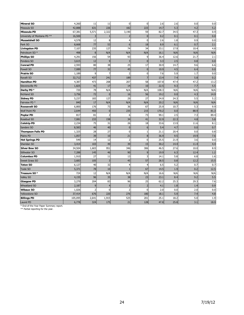| <b>Mineral SO</b>           | 4,260   | 11             | 11             | $\Omega$       | $\mathbf 0$      | 2.6   | 2.6  | 0.0  | 0.0  |
|-----------------------------|---------|----------------|----------------|----------------|------------------|-------|------|------|------|
| Missoula SO                 | 42,888  | 631            | 226            | 182            | 223              | 14.7  | 5.3  | 4.2  | 5.2  |
| Missoula PD                 | 67,381  | 5,571          | 2,322          | 3,190          | 59               | 82.7  | 34.5 | 47.3 | 0.9  |
| University of Montana PD ** | 16,500  | 3              |                | 2              | $\bf{0}$         | 0.2   | 0.1  | 0.1  | 0.0  |
| <b>Musselshell SO</b>       | 4,578   | 12             | 8              | $\overline{4}$ | $\Omega$         | 2.6   | 1.8  | 0.9  | 0.0  |
| Park SO                     | 8,668   | 77             | 53             | 6              | 18               | 8.9   | 6.1  | 0.7  | 2.1  |
| <b>Livingston PD</b>        | 7,107   | 235            | 127            | 74             | 34               | 33.1  | 17.9 | 10.4 | 4.8  |
| Petroleum SO <sup>*</sup>   | 498     | 8              | N/A            | N/A            | N/A              | 16.1  | N/A  | N/A  | N/A  |
| <b>Phillips SO</b>          | 4,291   | 156            | 54             | 93             | 9                | 36.4  | 12.6 | 21.7 | 2.1  |
| Pondera SO                  | 3,615   | 12             | 9              | $\overline{3}$ | $\mathbf{0}$     | 3.3   | 2.5  | 0.8  | 0.0  |
| <b>Conrad PD</b>            | 2,593   | 80             | 38             | 25             | 17               | 30.9  | 14.7 | 9.6  | 6.6  |
| Powell SO                   | 7,089   | 77             | 32             | 45             | $\bf{0}$         | 10.9  | 4.5  | 6.4  | 0.0  |
| Prairie SO                  | 1,189   | 9              | $\overline{7}$ | 2              | $\mathbf 0$      | 7.6   | 5.9  | 1.7  | 0.0  |
| Ravalli SO                  | 32,712  | 437            | 241            | 189            | $\overline{7}$   | 13.4  | 7.4  | 5.8  | 0.2  |
| <b>Hamilton PD</b>          | 4,387   | 473            | 208            | 207            | 58               | 107.8 | 47.4 | 47.2 | 13.2 |
| Stevensville PD             | 1,825   | 41             | 17             | 14             | 10               | 22.5  | 9.3  | 7.7  | 5.5  |
| Darby PD *                  | 720     | 78             | N/A            | N/A            | N/A              | 108.3 | N/A  | N/A  | N/A  |
| Richland SO                 | 3,756   | 72             | $\mathbf 0$    | 16             | 56               | 19.2  | 0.0  | 4.3  | 14.9 |
| <b>Sidney PD</b>            | 5,237   | 183            | 127            | 29             | 27               | 34.9  | 24.3 | 5.5  | 5.2  |
| Fairview PD *               | 840     | 17             | N/A            | N/A            | N/A              | 20.2  | N/A  | N/A  | N/A  |
| <b>Roosevelt SO</b>         | 6,800   | 176            | 73             | 36             | 67               | 25.9  | 10.7 | 5.3  | 9.9  |
| <b>Wolf Point PD</b>        | 2,644   | 450            | $\mathbf{0}$   | 235            | 215              | 170.2 | 0.0  | 88.9 | 81.3 |
| Poplar PD                   | 817     | 81             | $\overline{2}$ | 6              | 73               | 99.1  | 2.5  | 7.3  | 89.4 |
| Rosebud SO                  | 7,081   | 233            | 158            | 34             | 41               | 32.9  | 22.3 | 4.8  | 5.8  |
| <b>Colstrip PD</b>          | 2,234   | 75             | 31             | 26             | 18               | 33.6  | 13.9 | 11.6 | 8.1  |
| Sanders SO                  | 8,583   | 46             | 40             | $\mathbf{0}$   | $\boldsymbol{6}$ | 5.4   | 4.7  | 0.0  | 0.7  |
| <b>Thompson Falls PD</b>    | 1,325   | 28             | 27             | $\Omega$       | $\mathbf{1}$     | 21.1  | 20.4 | 0.0  | 0.8  |
| Plains PD                   | 1,057   | 39             | 10             | 21             | 8                | 36.9  | 9.5  | 19.9 | 7.6  |
| <b>Hot Springs PD</b>       | 549     | 14             | 12             | $\overline{2}$ | $\mathbf 0$      | 25.5  | 21.9 | 3.6  | 0.0  |
| Sheridan SO                 | 3,414   | 103            | 49             | 39             | 15               | 30.2  | 14.4 | 11.4 | 4.4  |
| <b>Silver Bow SO</b>        | 34,504  | 1,603          | 951            | 346            | 306              | 46.5  | 27.6 | 10.0 | 8.9  |
| Stillwater SO               | 7,288   | 145            | 46             | 90             | 9                | 19.9  | 6.3  | 12.4 | 1.2  |
| <b>Columbus PD</b>          | 1,910   | 27             | 11             | 13             | 3                | 14.1  | 5.8  | 6.8  | 1.6  |
| <b>Sweet Grass SO</b>       | 3,683   | 105            | $\overline{3}$ | 45             | 57               | 28.5  | 0.8  | 12.2 | 15.5 |
| <b>Teton SO</b>             | 6,127   | 40             | 32             | 4              | $\overline{4}$   | 6.5   | 5.2  | 0.7  | 0.7  |
| Toole SO                    | 5,371   | 78             | 10             | f,             | 67               | 14.5  | 1.9  | 0.2  | 12.5 |
| Treasure SO*                | 724     | 12             | N/A            | N/A            | N/A              | 16.6  | N/A  | N/A  | N/A  |
| <b>Valley SO</b>            | 4,155   | 96             | 35             | 38             | 23               | 23.1  | 8.4  | 9.2  | 5.5  |
| <b>Glasgow PD</b>           | 3,279   | 204            | 83             | 96             | 25               | 62.2  | 25.3 | 29.3 | 7.6  |
| Wheatland SO                | 2,187   | 9              | $\overline{4}$ | $\overline{3}$ | $\overline{2}$   | 4.1   | 1.8  | 1.4  | 0.9  |
| <b>Wibaux SO</b>            | 1,026   | $\overline{2}$ | $\mathbf 0$    | 2              | $\overline{0}$   | 2.0   | 0.0  | 2.0  | 0.0  |
| Yellowstone SO              | 37,414  | 676            | 220            | 276            | 180              | 18.1  | 5.9  | 7.4  | 4.8  |
| <b>Billings PD</b>          | 105,095 | 2,641          | 1,915          | 525            | 201              | 25.1  | 18.2 | 5.0  | 1.9  |
| Laurel PD                   | 6,778   | 324            | 175            | 21             | 128              | 47.8  | 25.8 | 3.1  | 18.9 |

\* End-of-the-Year Paper Summary report. \*\* Partial reporting for the year.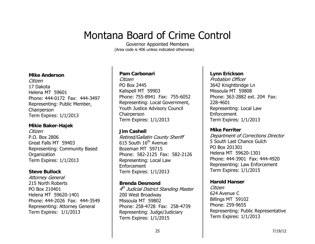# Montana Board of Crime Control

Governor Appointed Members (Area code is 406 unless indicated otherwise)

#### **Mike Anderson**

Citizen 17 Dakota Helena MT 59601 Phone: 444-0172 Fax: 444-3497 Representing: Public Member, **Chairperson** Term Expires: 1/1/2013

#### **Mikie Baker-Hajek**

Citizen P.O. Box 2806 Great Falls MT 59403 Representing: Community Based Organization Term Expires: 1/1/2013

#### **Steve Bullock**

Attorney General 215 North Roberts PO Box 210401 Helena MT 59620-1401 Phone: 444-2026 Fax: 444-3549 Representing: Attorney General Term Expires: 1/1/2013

#### **Pam Carbonari**

Citizen PO Box 2445 Kalispell MT 59903 Phone: 755-8941 Fax: 755-6052 Representing: Local Government, Youth Justice Advisory Council Chairperson Term Expires: 1/1/2013

#### **Jim Cashell**

Retired/Gallatin County Sheriff 615 South 16th Avenue Bozeman MT 59715 Phone: 582-2125 Fax: 582-2126 Representing: Local Law Enforcement Term Expires: 1/1/2013

#### **Brenda Desmond**

4<sup>th</sup> Judicial District Standing Master 200 West Broadway Missoula MT 59802 Phone: 258-4728 Fax: 258-4739 Representing: Judge/Judiciary Term Expires: 1/1/2015

#### **Lynn Erickson**

Probation Officer 3642 Knightbridge Ln Missoula MT 59808 Phone: 363-2882 ext. 204 Fax: 228-4601 Representing: Local Law Enforcement Term Expires: 1/1/2013

#### **Mike Ferriter**

Department of Corrections Director 5 South Last Chance Gulch PO Box 201301 Helena MT 59620-1301 Phone: 444-3901 Fax: 444-4920 Representing: Law Enforcement Term Expires: 1/1/2015

#### **Harold Hanser**

Citizen 624 Avenue C Billings MT 59102 Phone: 259-9655 Representing: Public Representative Term Expires: 1/1/2013